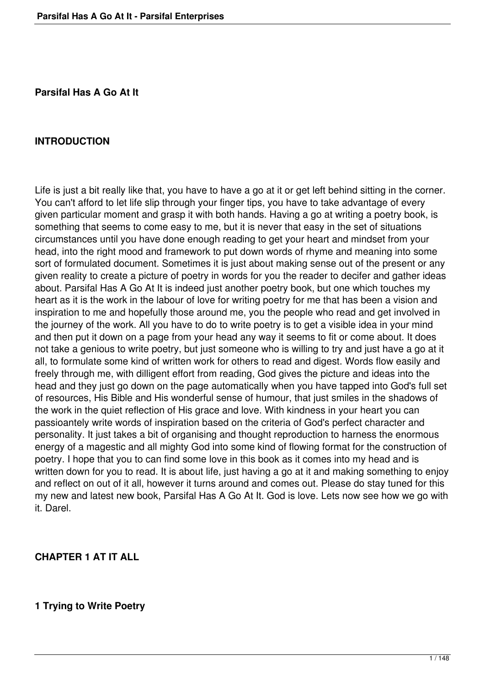**Parsifal Has A Go At It**

#### **INTRODUCTION**

Life is just a bit really like that, you have to have a go at it or get left behind sitting in the corner. You can't afford to let life slip through your finger tips, you have to take advantage of every given particular moment and grasp it with both hands. Having a go at writing a poetry book, is something that seems to come easy to me, but it is never that easy in the set of situations circumstances until you have done enough reading to get your heart and mindset from your head, into the right mood and framework to put down words of rhyme and meaning into some sort of formulated document. Sometimes it is just about making sense out of the present or any given reality to create a picture of poetry in words for you the reader to decifer and gather ideas about. Parsifal Has A Go At It is indeed just another poetry book, but one which touches my heart as it is the work in the labour of love for writing poetry for me that has been a vision and inspiration to me and hopefully those around me, you the people who read and get involved in the journey of the work. All you have to do to write poetry is to get a visible idea in your mind and then put it down on a page from your head any way it seems to fit or come about. It does not take a genious to write poetry, but just someone who is willing to try and just have a go at it all, to formulate some kind of written work for others to read and digest. Words flow easily and freely through me, with dilligent effort from reading, God gives the picture and ideas into the head and they just go down on the page automatically when you have tapped into God's full set of resources, His Bible and His wonderful sense of humour, that just smiles in the shadows of the work in the quiet reflection of His grace and love. With kindness in your heart you can passioantely write words of inspiration based on the criteria of God's perfect character and personality. It just takes a bit of organising and thought reproduction to harness the enormous energy of a magestic and all mighty God into some kind of flowing format for the construction of poetry. I hope that you to can find some love in this book as it comes into my head and is written down for you to read. It is about life, just having a go at it and making something to enjoy and reflect on out of it all, however it turns around and comes out. Please do stay tuned for this my new and latest new book, Parsifal Has A Go At It. God is love. Lets now see how we go with it. Darel.

#### **CHAPTER 1 AT IT ALL**

### **1 Trying to Write Poetry**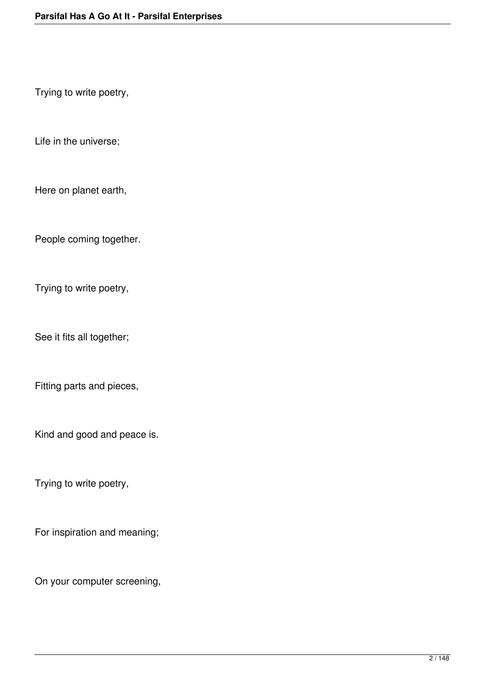Trying to write poetry,

Life in the universe;

Here on planet earth,

People coming together.

Trying to write poetry,

See it fits all together;

Fitting parts and pieces,

Kind and good and peace is.

Trying to write poetry,

For inspiration and meaning;

On your computer screening,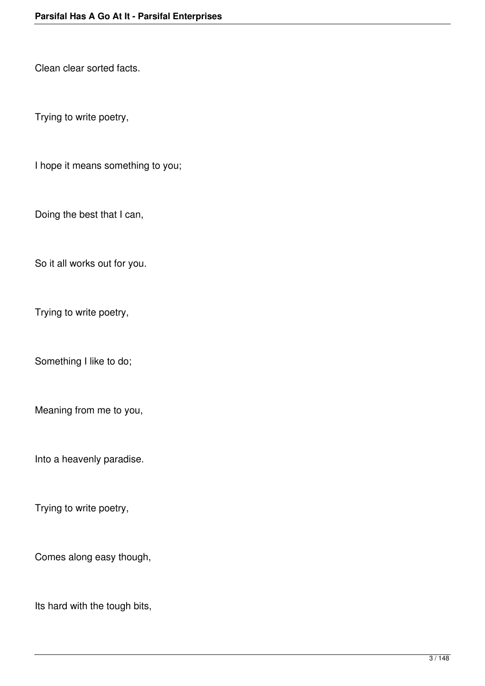Clean clear sorted facts.

Trying to write poetry,

I hope it means something to you;

Doing the best that I can,

So it all works out for you.

Trying to write poetry,

Something I like to do;

Meaning from me to you,

Into a heavenly paradise.

Trying to write poetry,

Comes along easy though,

Its hard with the tough bits,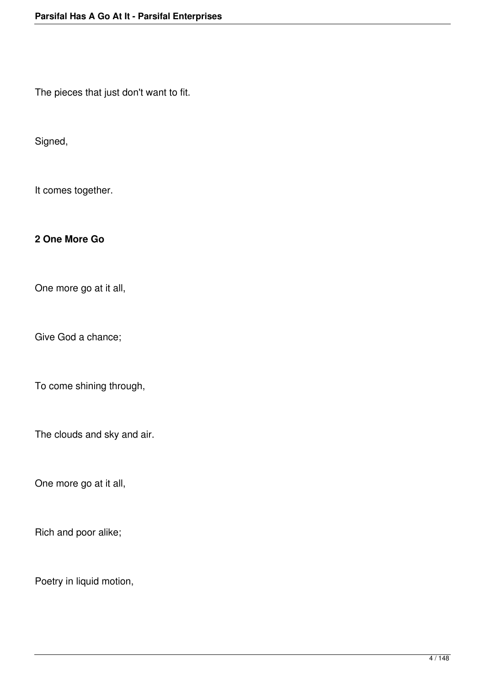The pieces that just don't want to fit.

Signed,

It comes together.

### **2 One More Go**

One more go at it all,

Give God a chance;

To come shining through,

The clouds and sky and air.

One more go at it all,

Rich and poor alike;

Poetry in liquid motion,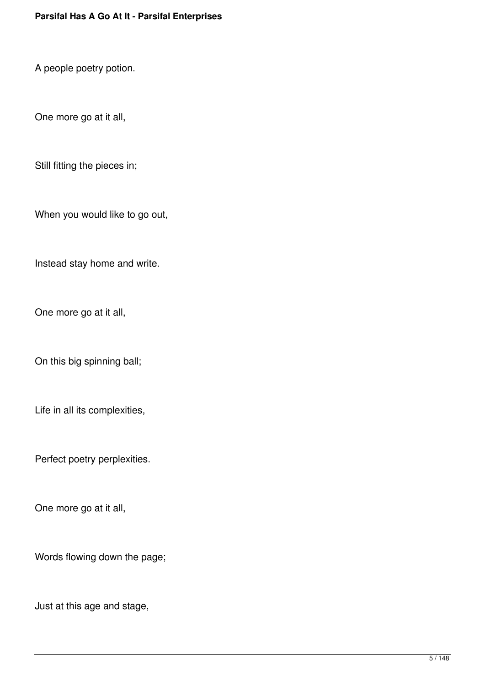A people poetry potion.

One more go at it all,

Still fitting the pieces in;

When you would like to go out,

Instead stay home and write.

One more go at it all,

On this big spinning ball;

Life in all its complexities,

Perfect poetry perplexities.

One more go at it all,

Words flowing down the page;

Just at this age and stage,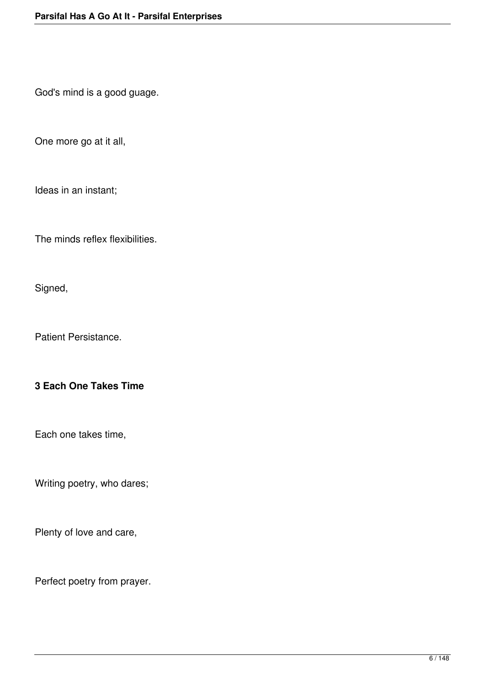God's mind is a good guage.

One more go at it all,

Ideas in an instant;

The minds reflex flexibilities.

Signed,

Patient Persistance.

# **3 Each One Takes Time**

Each one takes time,

Writing poetry, who dares;

Plenty of love and care,

Perfect poetry from prayer.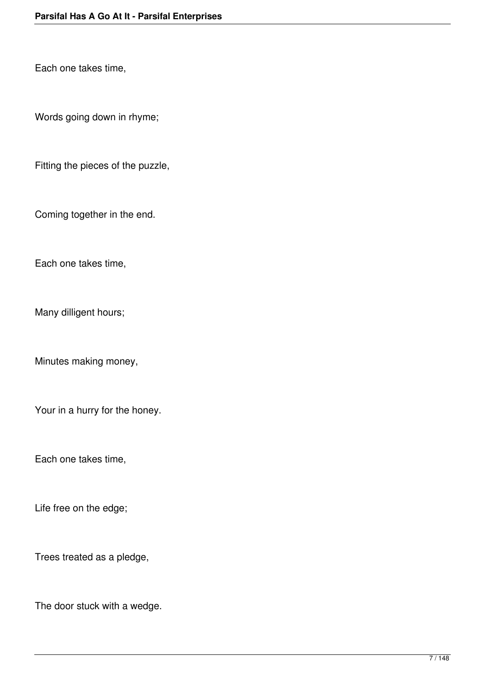Each one takes time,

Words going down in rhyme;

Fitting the pieces of the puzzle,

Coming together in the end.

Each one takes time,

Many dilligent hours;

Minutes making money,

Your in a hurry for the honey.

Each one takes time,

Life free on the edge;

Trees treated as a pledge,

The door stuck with a wedge.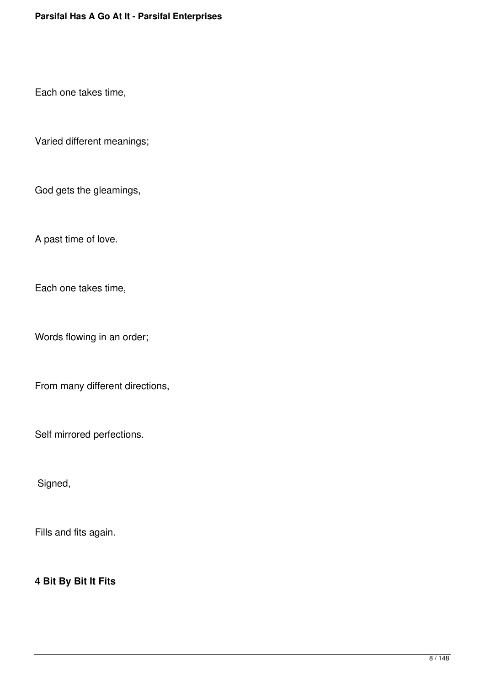Each one takes time,

Varied different meanings;

God gets the gleamings,

A past time of love.

Each one takes time,

Words flowing in an order;

From many different directions,

Self mirrored perfections.

Signed,

Fills and fits again.

### **4 Bit By Bit It Fits**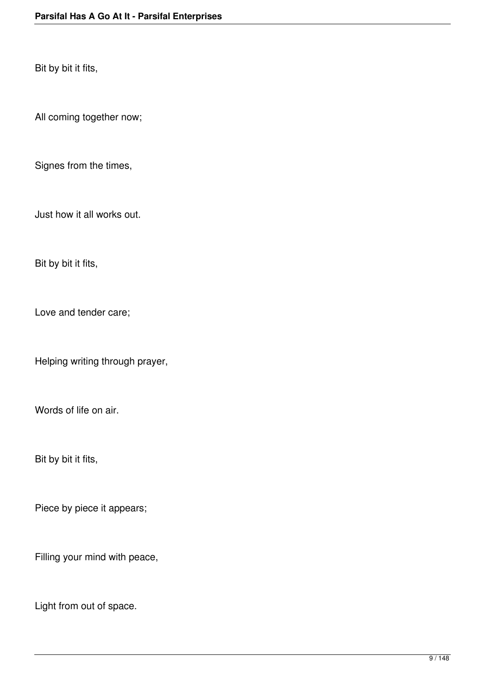Bit by bit it fits,

All coming together now;

Signes from the times,

Just how it all works out.

Bit by bit it fits,

Love and tender care;

Helping writing through prayer,

Words of life on air.

Bit by bit it fits,

Piece by piece it appears;

Filling your mind with peace,

Light from out of space.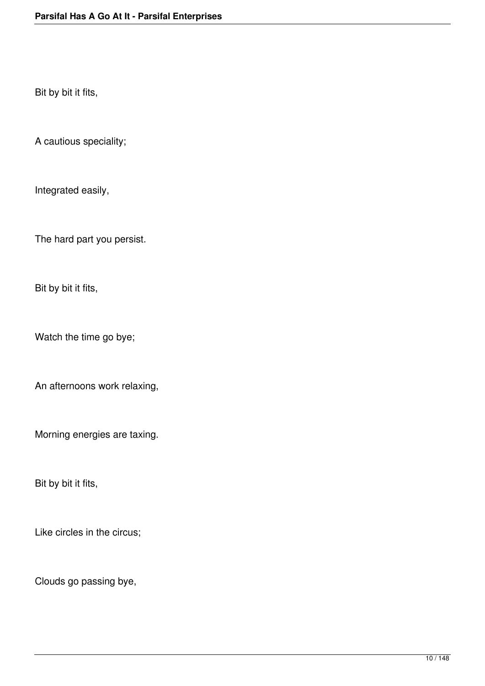Bit by bit it fits,

A cautious speciality;

Integrated easily,

The hard part you persist.

Bit by bit it fits,

Watch the time go bye;

An afternoons work relaxing,

Morning energies are taxing.

Bit by bit it fits,

Like circles in the circus;

Clouds go passing bye,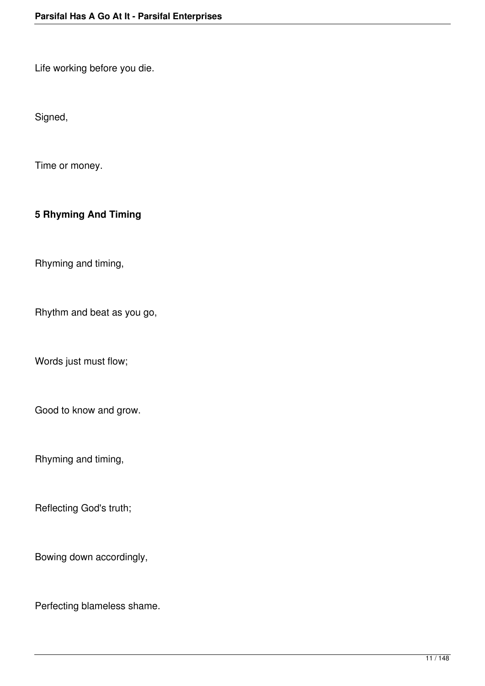Life working before you die.

Signed,

Time or money.

# **5 Rhyming And Timing**

Rhyming and timing,

Rhythm and beat as you go,

Words just must flow;

Good to know and grow.

Rhyming and timing,

Reflecting God's truth;

Bowing down accordingly,

Perfecting blameless shame.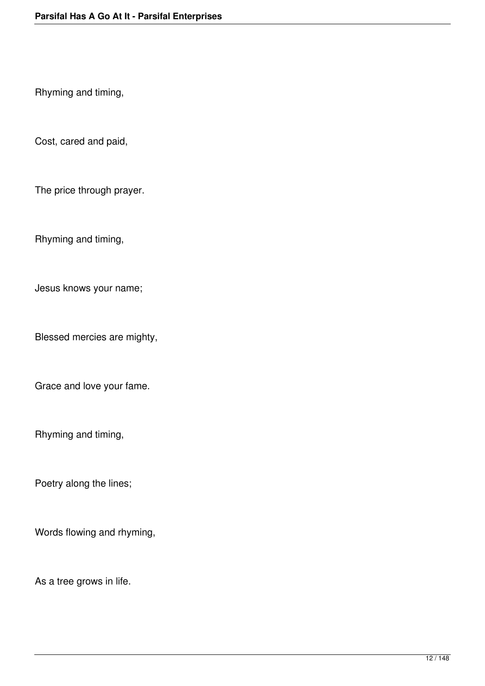Rhyming and timing,

Cost, cared and paid,

The price through prayer.

Rhyming and timing,

Jesus knows your name;

Blessed mercies are mighty,

Grace and love your fame.

Rhyming and timing,

Poetry along the lines;

Words flowing and rhyming,

As a tree grows in life.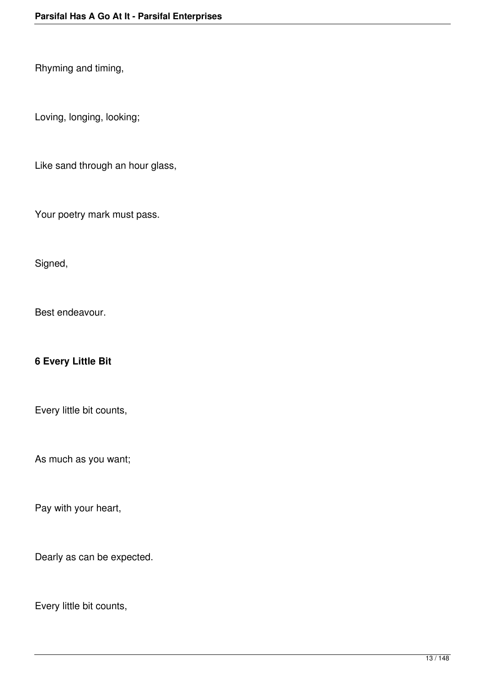Rhyming and timing,

Loving, longing, looking;

Like sand through an hour glass,

Your poetry mark must pass.

Signed,

Best endeavour.

### **6 Every Little Bit**

Every little bit counts,

As much as you want;

Pay with your heart,

Dearly as can be expected.

Every little bit counts,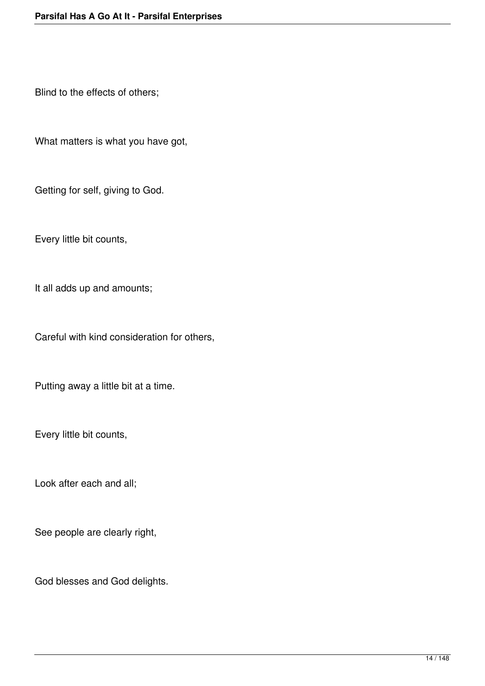Blind to the effects of others;

What matters is what you have got,

Getting for self, giving to God.

Every little bit counts,

It all adds up and amounts;

Careful with kind consideration for others,

Putting away a little bit at a time.

Every little bit counts,

Look after each and all;

See people are clearly right,

God blesses and God delights.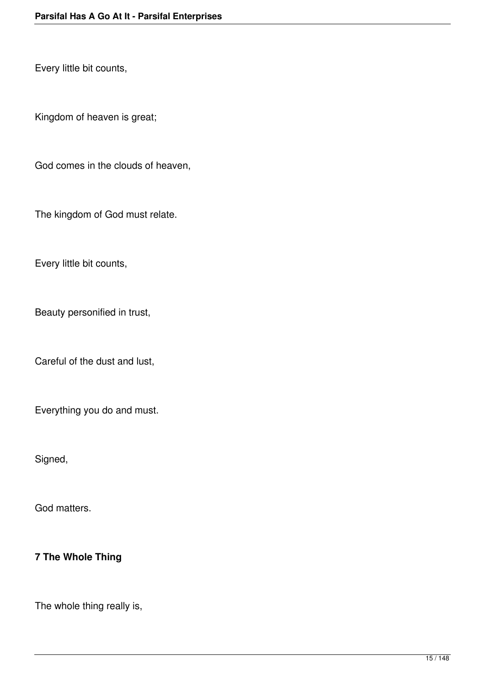Every little bit counts,

Kingdom of heaven is great;

God comes in the clouds of heaven,

The kingdom of God must relate.

Every little bit counts,

Beauty personified in trust,

Careful of the dust and lust,

Everything you do and must.

Signed,

God matters.

# **7 The Whole Thing**

The whole thing really is,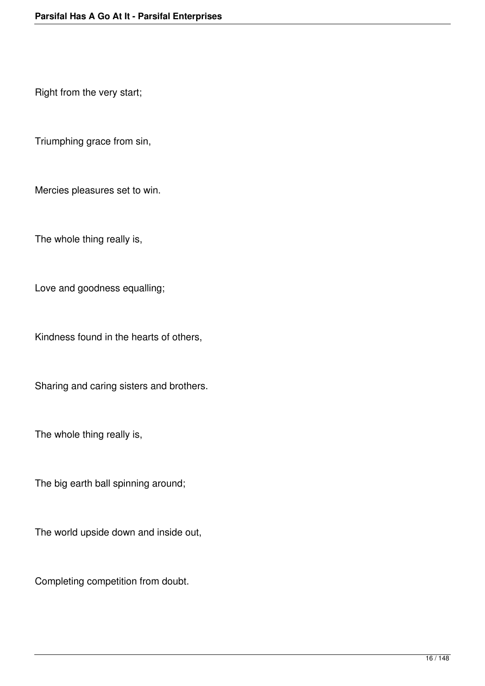Right from the very start;

Triumphing grace from sin,

Mercies pleasures set to win.

The whole thing really is,

Love and goodness equalling;

Kindness found in the hearts of others,

Sharing and caring sisters and brothers.

The whole thing really is,

The big earth ball spinning around;

The world upside down and inside out,

Completing competition from doubt.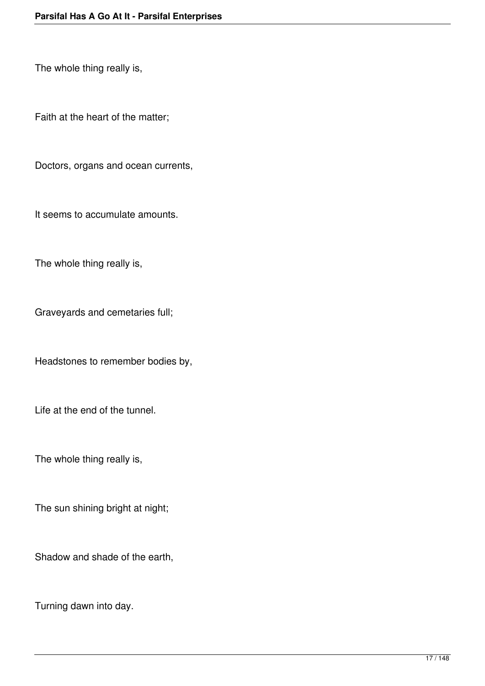The whole thing really is,

Faith at the heart of the matter;

Doctors, organs and ocean currents,

It seems to accumulate amounts.

The whole thing really is,

Graveyards and cemetaries full;

Headstones to remember bodies by,

Life at the end of the tunnel.

The whole thing really is,

The sun shining bright at night;

Shadow and shade of the earth,

Turning dawn into day.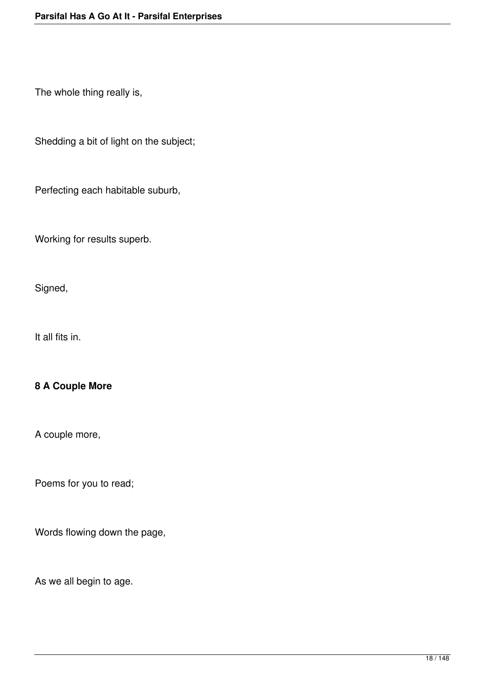The whole thing really is,

Shedding a bit of light on the subject;

Perfecting each habitable suburb,

Working for results superb.

Signed,

It all fits in.

# **8 A Couple More**

A couple more,

Poems for you to read;

Words flowing down the page,

As we all begin to age.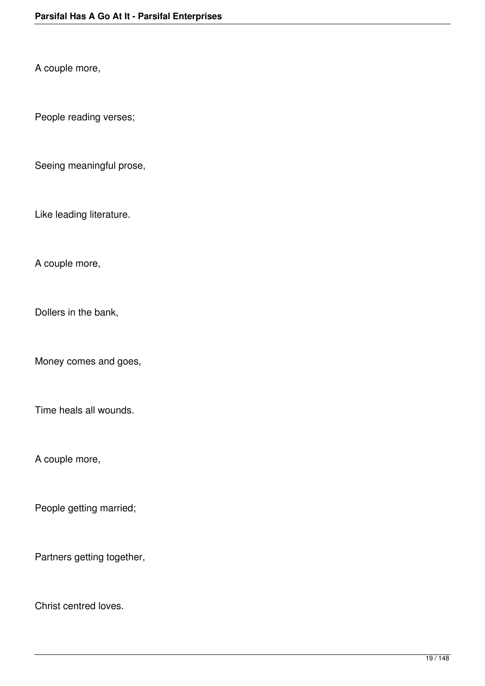A couple more,

People reading verses;

Seeing meaningful prose,

Like leading literature.

A couple more,

Dollers in the bank,

Money comes and goes,

Time heals all wounds.

A couple more,

People getting married;

Partners getting together,

Christ centred loves.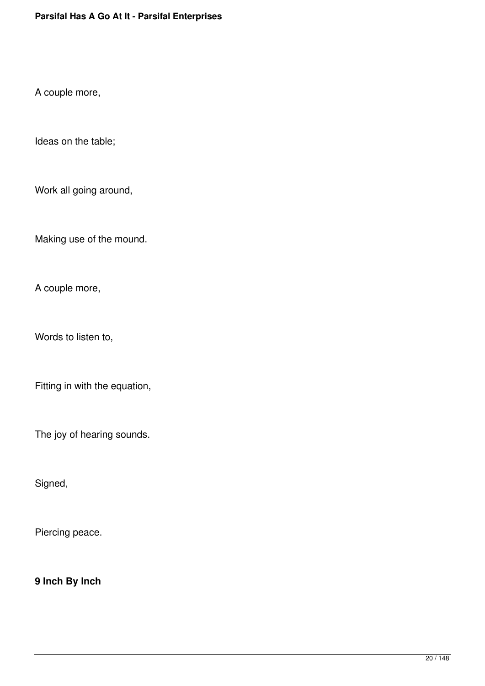A couple more,

Ideas on the table;

Work all going around,

Making use of the mound.

A couple more,

Words to listen to,

Fitting in with the equation,

The joy of hearing sounds.

Signed,

Piercing peace.

**9 Inch By Inch**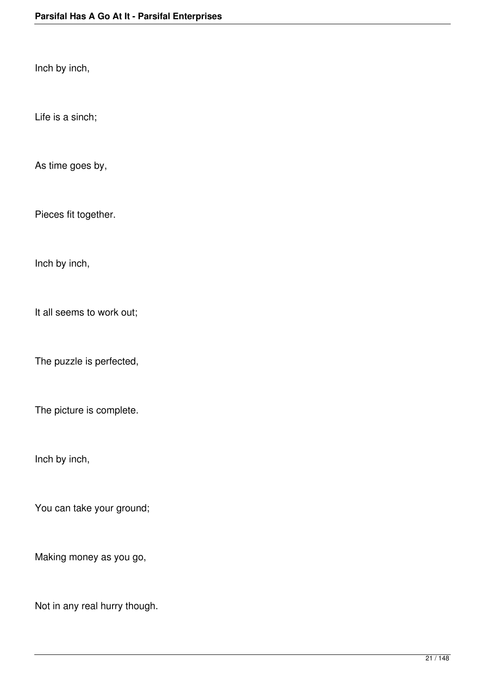Inch by inch,

Life is a sinch;

As time goes by,

Pieces fit together.

Inch by inch,

It all seems to work out;

The puzzle is perfected,

The picture is complete.

Inch by inch,

You can take your ground;

Making money as you go,

Not in any real hurry though.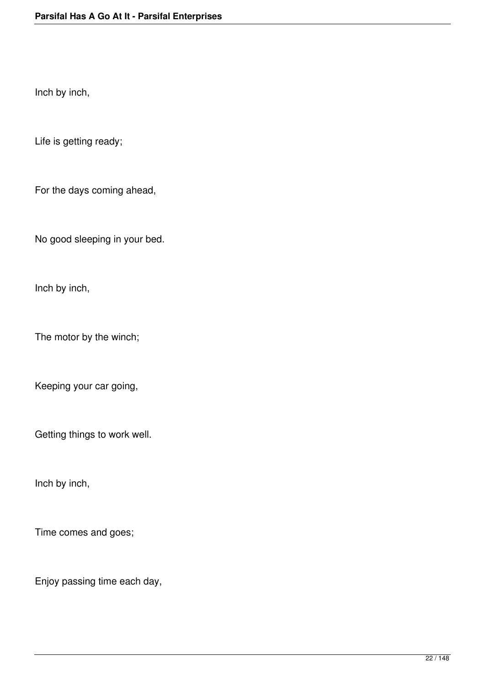Inch by inch,

Life is getting ready;

For the days coming ahead,

No good sleeping in your bed.

Inch by inch,

The motor by the winch;

Keeping your car going,

Getting things to work well.

Inch by inch,

Time comes and goes;

Enjoy passing time each day,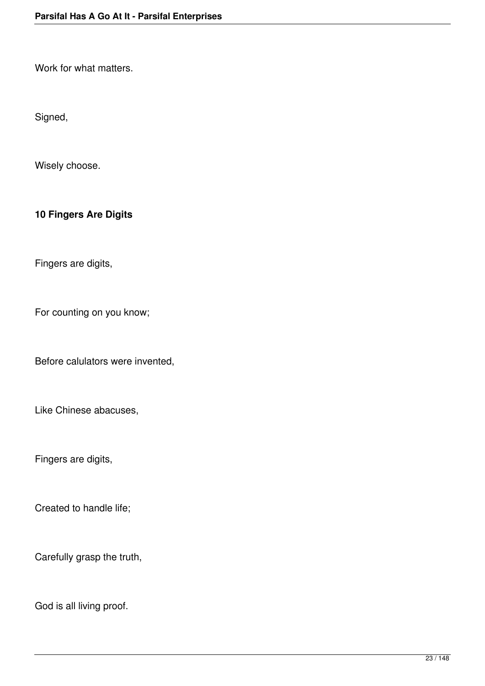Work for what matters.

Signed,

Wisely choose.

**10 Fingers Are Digits**

Fingers are digits,

For counting on you know;

Before calulators were invented,

Like Chinese abacuses,

Fingers are digits,

Created to handle life;

Carefully grasp the truth,

God is all living proof.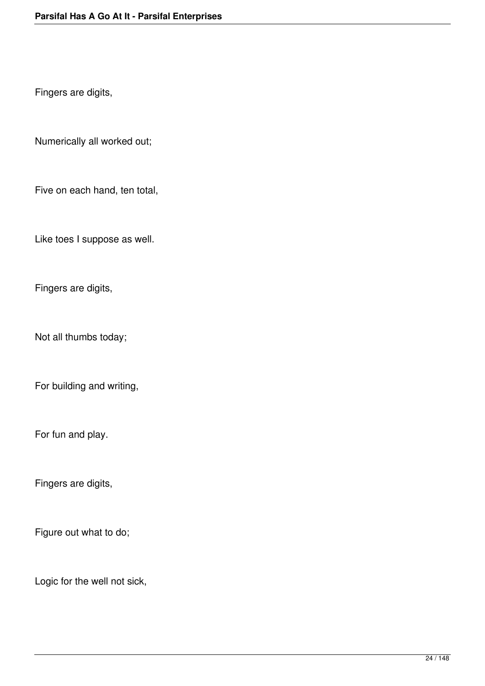Fingers are digits,

Numerically all worked out;

Five on each hand, ten total,

Like toes I suppose as well.

Fingers are digits,

Not all thumbs today;

For building and writing,

For fun and play.

Fingers are digits,

Figure out what to do;

Logic for the well not sick,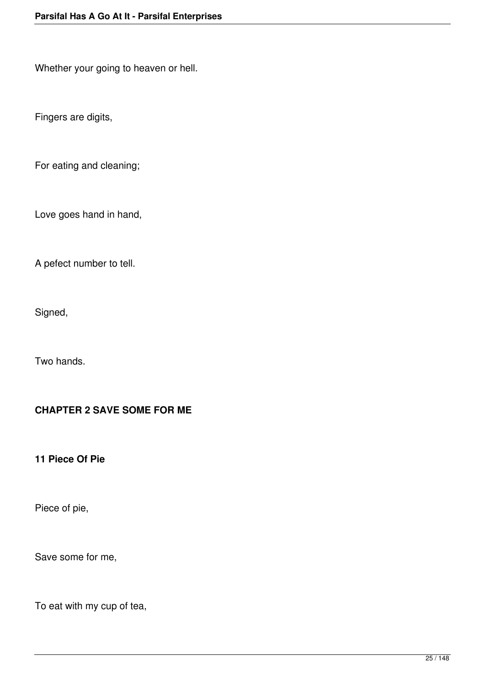Whether your going to heaven or hell.

Fingers are digits,

For eating and cleaning;

Love goes hand in hand,

A pefect number to tell.

Signed,

Two hands.

### **CHAPTER 2 SAVE SOME FOR ME**

**11 Piece Of Pie**

Piece of pie,

Save some for me,

To eat with my cup of tea,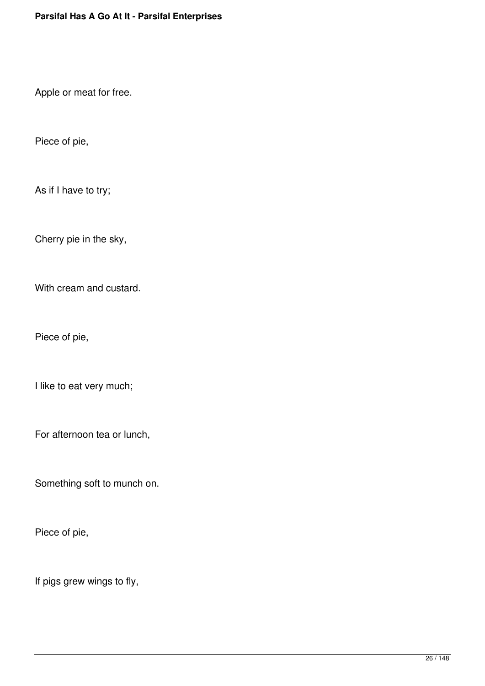Apple or meat for free.

Piece of pie,

As if I have to try;

Cherry pie in the sky,

With cream and custard.

Piece of pie,

I like to eat very much;

For afternoon tea or lunch,

Something soft to munch on.

Piece of pie,

If pigs grew wings to fly,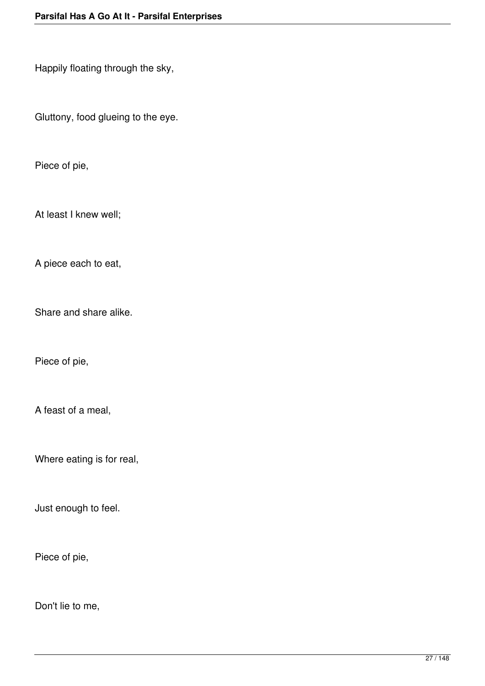Happily floating through the sky,

Gluttony, food glueing to the eye.

Piece of pie,

At least I knew well;

A piece each to eat,

Share and share alike.

Piece of pie,

A feast of a meal,

Where eating is for real,

Just enough to feel.

Piece of pie,

Don't lie to me,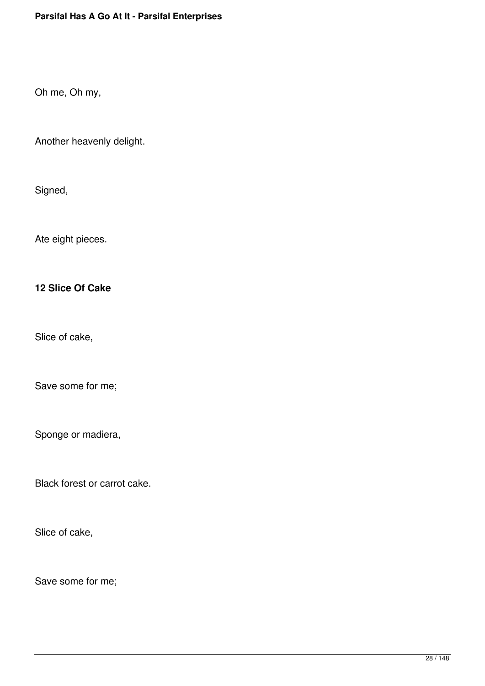Oh me, Oh my,

Another heavenly delight.

Signed,

Ate eight pieces.

### **12 Slice Of Cake**

Slice of cake,

Save some for me;

Sponge or madiera,

Black forest or carrot cake.

Slice of cake,

Save some for me;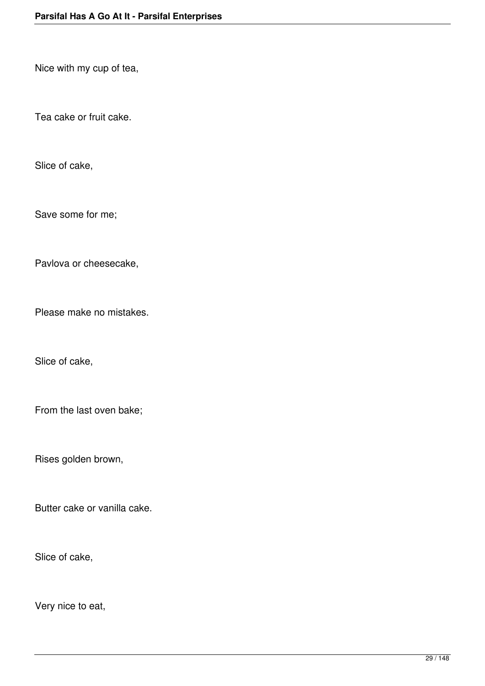Nice with my cup of tea,

Tea cake or fruit cake.

Slice of cake,

Save some for me;

Pavlova or cheesecake,

Please make no mistakes.

Slice of cake,

From the last oven bake;

Rises golden brown,

Butter cake or vanilla cake.

Slice of cake,

Very nice to eat,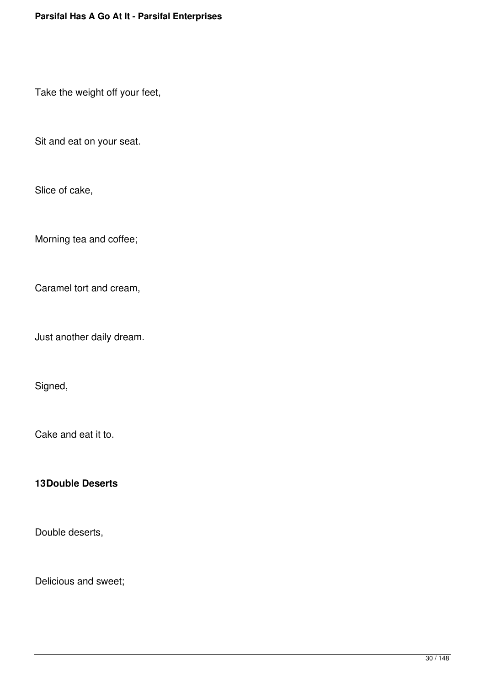Take the weight off your feet,

Sit and eat on your seat.

Slice of cake,

Morning tea and coffee;

Caramel tort and cream,

Just another daily dream.

Signed,

Cake and eat it to.

#### **13Double Deserts**

Double deserts,

Delicious and sweet;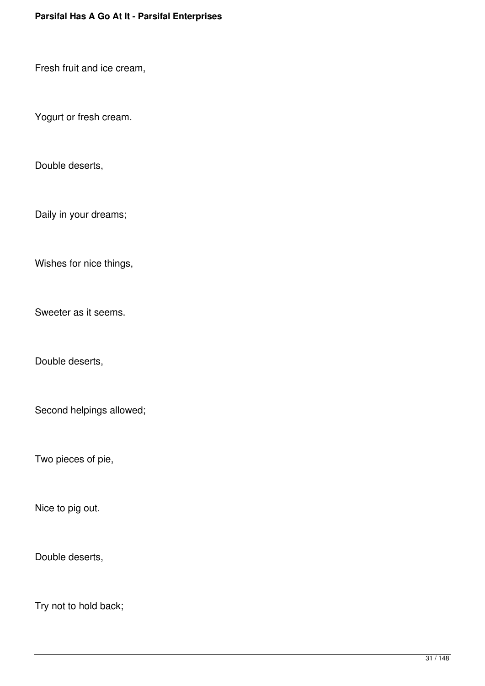Fresh fruit and ice cream,

Yogurt or fresh cream.

Double deserts,

Daily in your dreams;

Wishes for nice things,

Sweeter as it seems.

Double deserts,

Second helpings allowed;

Two pieces of pie,

Nice to pig out.

Double deserts,

Try not to hold back;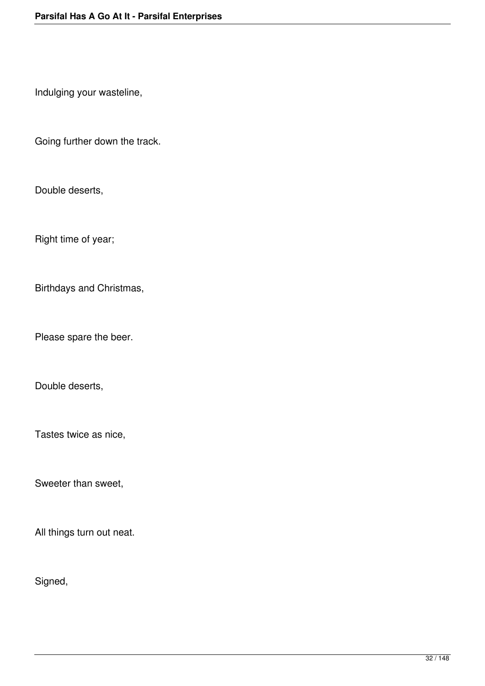Indulging your wasteline,

Going further down the track.

Double deserts,

Right time of year;

Birthdays and Christmas,

Please spare the beer.

Double deserts,

Tastes twice as nice,

Sweeter than sweet,

All things turn out neat.

Signed,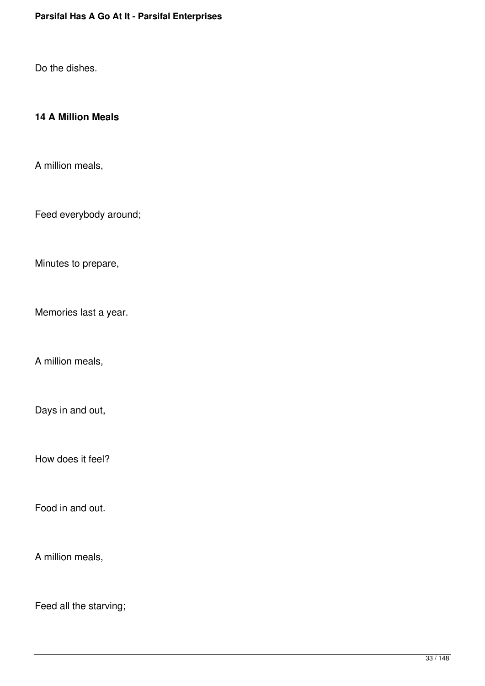Do the dishes.

### **14 A Million Meals**

A million meals,

Feed everybody around;

Minutes to prepare,

Memories last a year.

A million meals,

Days in and out,

How does it feel?

Food in and out.

A million meals,

Feed all the starving;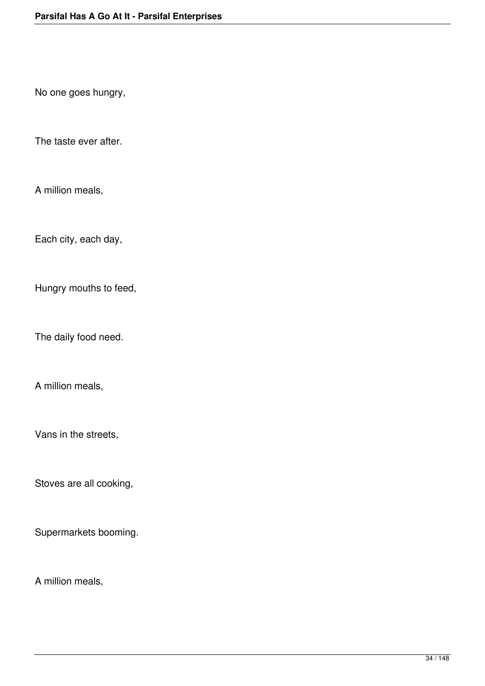No one goes hungry,

The taste ever after.

A million meals,

Each city, each day,

Hungry mouths to feed,

The daily food need.

A million meals,

Vans in the streets,

Stoves are all cooking,

Supermarkets booming.

A million meals,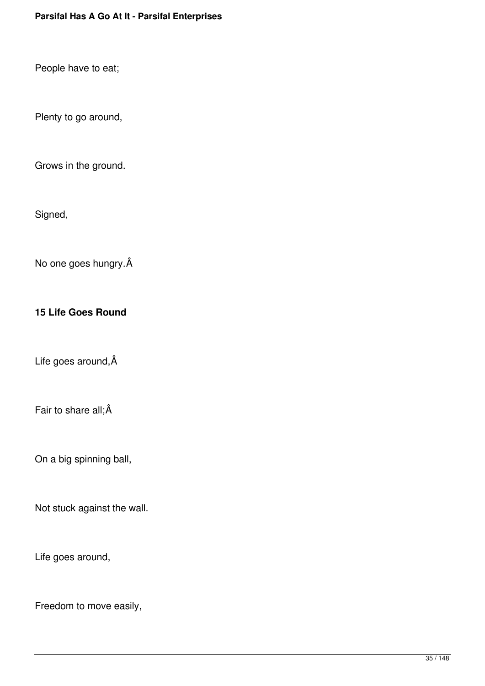People have to eat;

Plenty to go around,

Grows in the ground.

Signed,

No one goes hungry.

### **15 Life Goes Round**

Life goes around,  $\hat{A}$ 

Fair to share all;Â

On a big spinning ball,

Not stuck against the wall.

Life goes around,

Freedom to move easily,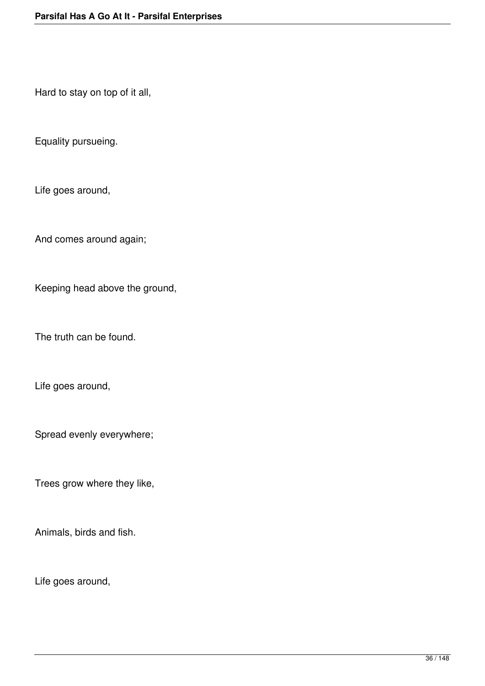Hard to stay on top of it all,

Equality pursueing.

Life goes around,

And comes around again;

Keeping head above the ground,

The truth can be found.

Life goes around,

Spread evenly everywhere;

Trees grow where they like,

Animals, birds and fish.

Life goes around,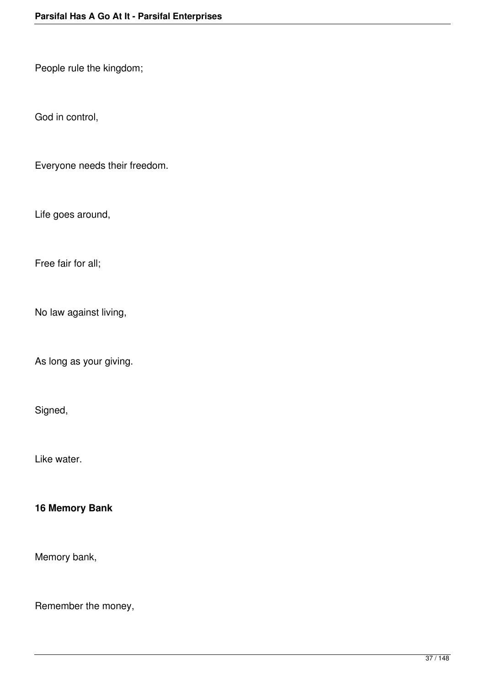People rule the kingdom;

God in control,

Everyone needs their freedom.

Life goes around,

Free fair for all;

No law against living,

As long as your giving.

Signed,

Like water.

**16 Memory Bank**

Memory bank,

Remember the money,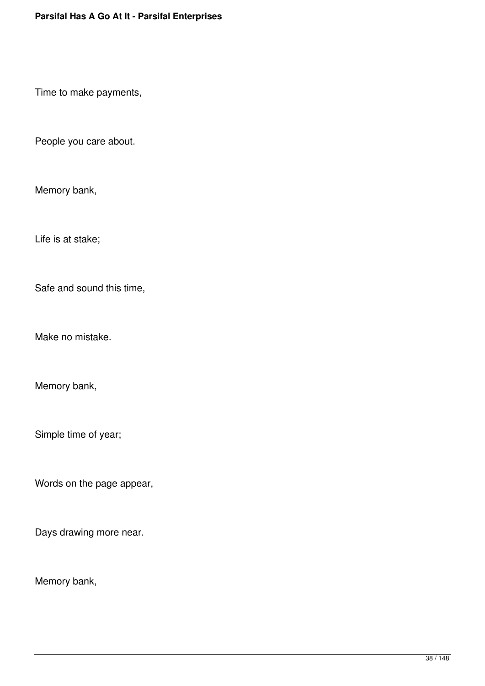Time to make payments,

People you care about.

Memory bank,

Life is at stake;

Safe and sound this time,

Make no mistake.

Memory bank,

Simple time of year;

Words on the page appear,

Days drawing more near.

Memory bank,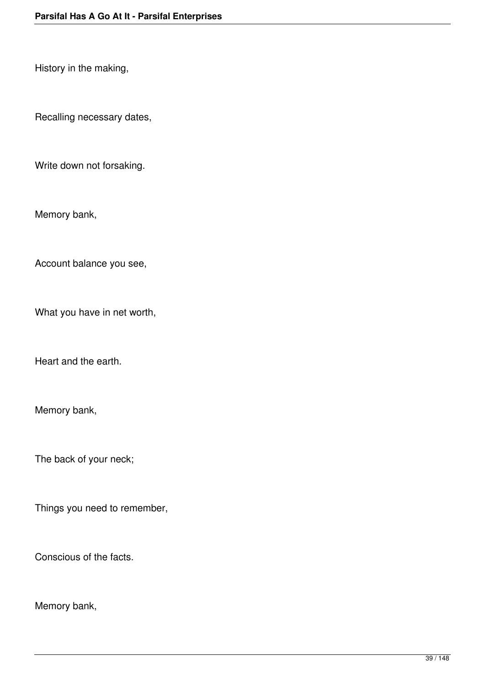History in the making,

Recalling necessary dates,

Write down not forsaking.

Memory bank,

Account balance you see,

What you have in net worth,

Heart and the earth.

Memory bank,

The back of your neck;

Things you need to remember,

Conscious of the facts.

Memory bank,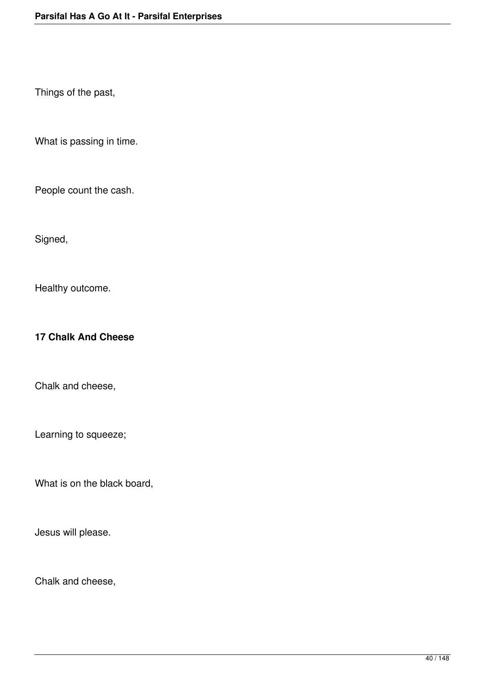Things of the past,

What is passing in time.

People count the cash.

Signed,

Healthy outcome.

**17 Chalk And Cheese**

Chalk and cheese,

Learning to squeeze;

What is on the black board,

Jesus will please.

Chalk and cheese,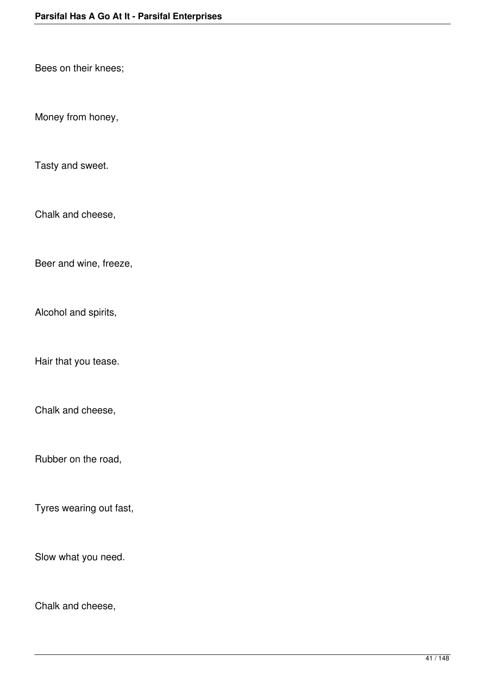Bees on their knees;

Money from honey,

Tasty and sweet.

Chalk and cheese,

Beer and wine, freeze,

Alcohol and spirits,

Hair that you tease.

Chalk and cheese,

Rubber on the road,

Tyres wearing out fast,

Slow what you need.

Chalk and cheese,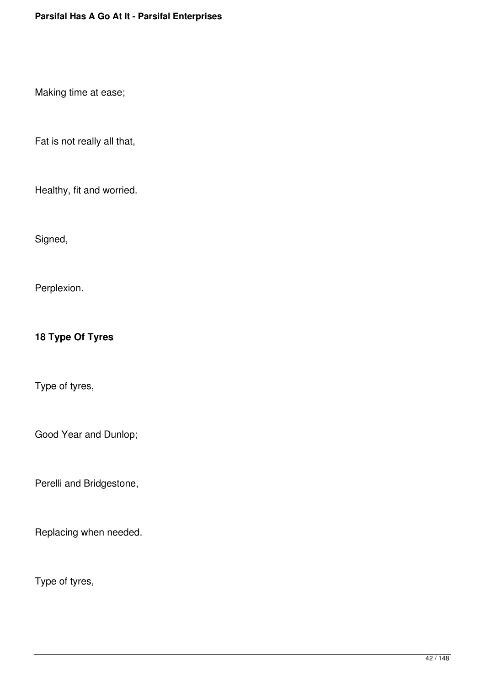Making time at ease;

Fat is not really all that,

Healthy, fit and worried.

Signed,

Perplexion.

**18 Type Of Tyres**

Type of tyres,

Good Year and Dunlop;

Perelli and Bridgestone,

Replacing when needed.

Type of tyres,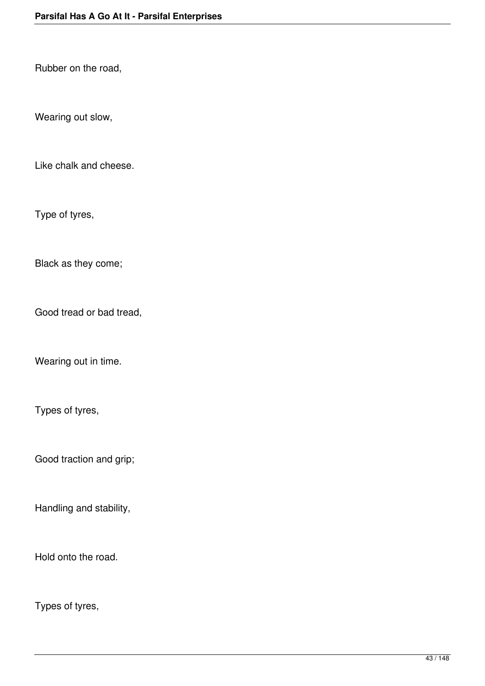Rubber on the road,

Wearing out slow,

Like chalk and cheese.

Type of tyres,

Black as they come;

Good tread or bad tread,

Wearing out in time.

Types of tyres,

Good traction and grip;

Handling and stability,

Hold onto the road.

Types of tyres,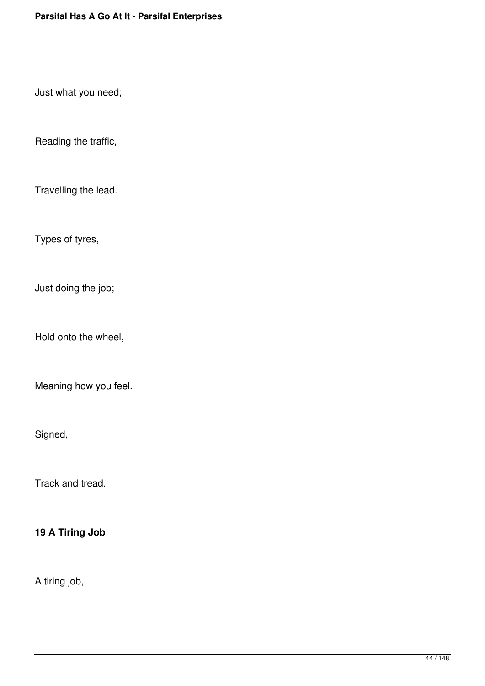Just what you need;

Reading the traffic,

Travelling the lead.

Types of tyres,

Just doing the job;

Hold onto the wheel,

Meaning how you feel.

Signed,

Track and tread.

**19 A Tiring Job**

A tiring job,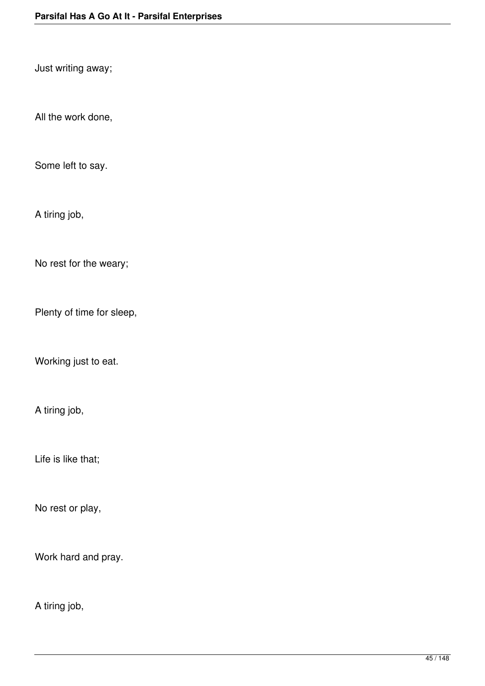Just writing away;

All the work done,

Some left to say.

A tiring job,

No rest for the weary;

Plenty of time for sleep,

Working just to eat.

A tiring job,

Life is like that;

No rest or play,

Work hard and pray.

A tiring job,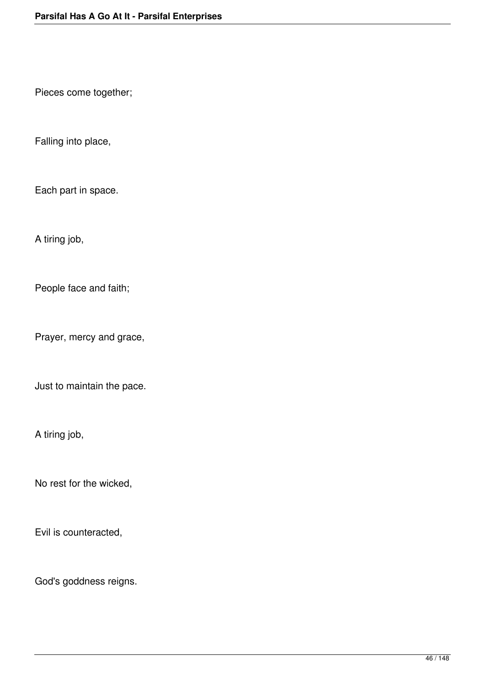Pieces come together;

Falling into place,

Each part in space.

A tiring job,

People face and faith;

Prayer, mercy and grace,

Just to maintain the pace.

A tiring job,

No rest for the wicked,

Evil is counteracted,

God's goddness reigns.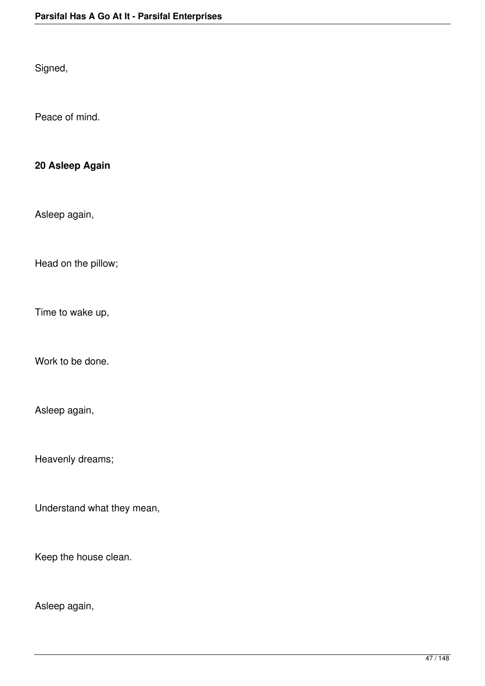Signed,

Peace of mind.

### **20 Asleep Again**

Asleep again,

Head on the pillow;

Time to wake up,

Work to be done.

Asleep again,

Heavenly dreams;

Understand what they mean,

Keep the house clean.

Asleep again,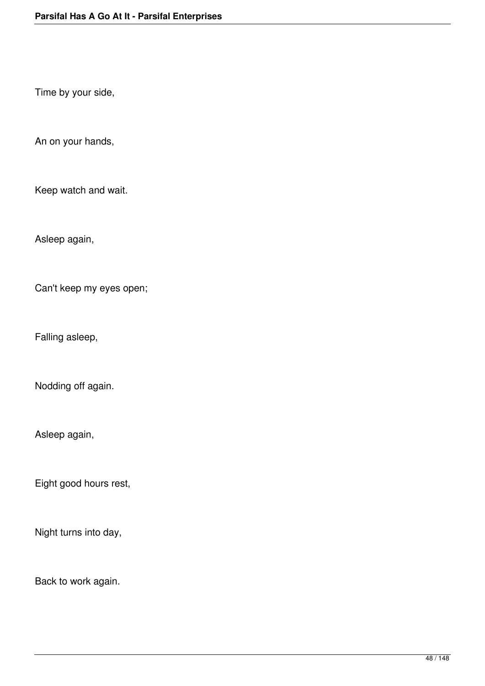Time by your side,

An on your hands,

Keep watch and wait.

Asleep again,

Can't keep my eyes open;

Falling asleep,

Nodding off again.

Asleep again,

Eight good hours rest,

Night turns into day,

Back to work again.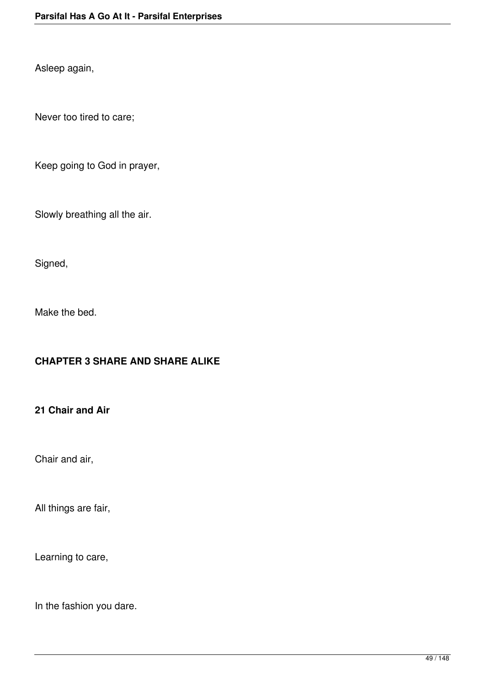Asleep again,

Never too tired to care;

Keep going to God in prayer,

Slowly breathing all the air.

Signed,

Make the bed.

#### **CHAPTER 3 SHARE AND SHARE ALIKE**

#### **21 Chair and Air**

Chair and air,

All things are fair,

Learning to care,

In the fashion you dare.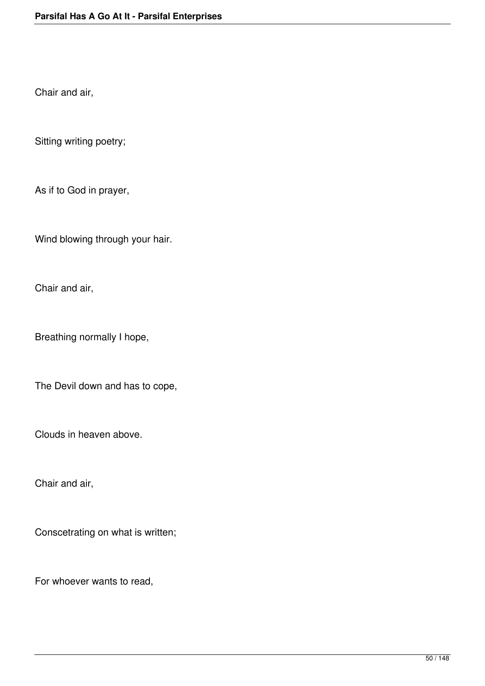Chair and air,

Sitting writing poetry;

As if to God in prayer,

Wind blowing through your hair.

Chair and air,

Breathing normally I hope,

The Devil down and has to cope,

Clouds in heaven above.

Chair and air,

Conscetrating on what is written;

For whoever wants to read,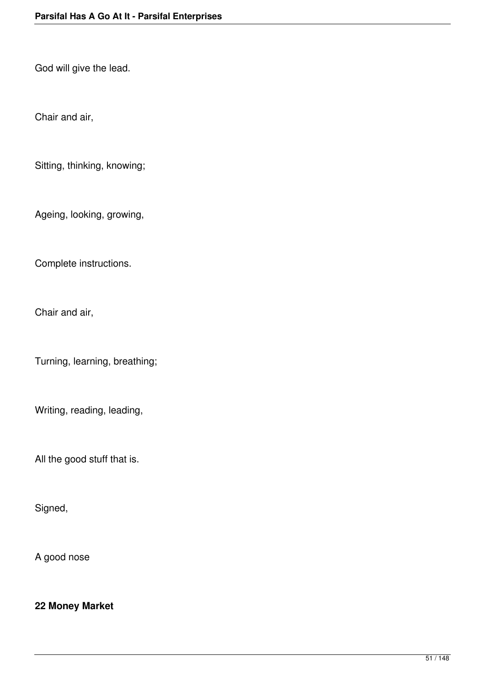God will give the lead.

Chair and air,

Sitting, thinking, knowing;

Ageing, looking, growing,

Complete instructions.

Chair and air,

Turning, learning, breathing;

Writing, reading, leading,

All the good stuff that is.

Signed,

A good nose

**22 Money Market**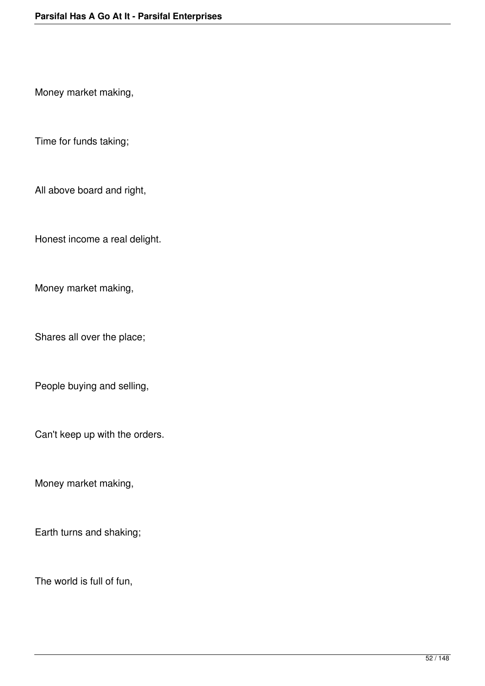Money market making,

Time for funds taking;

All above board and right,

Honest income a real delight.

Money market making,

Shares all over the place;

People buying and selling,

Can't keep up with the orders.

Money market making,

Earth turns and shaking;

The world is full of fun,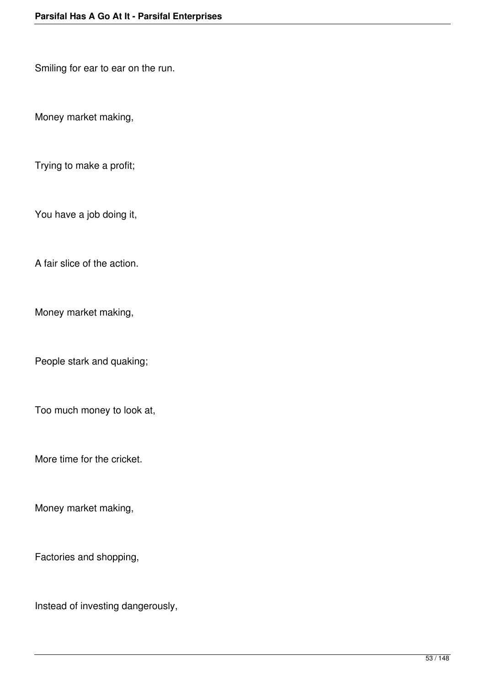Smiling for ear to ear on the run.

Money market making,

Trying to make a profit;

You have a job doing it,

A fair slice of the action.

Money market making,

People stark and quaking;

Too much money to look at,

More time for the cricket.

Money market making,

Factories and shopping,

Instead of investing dangerously,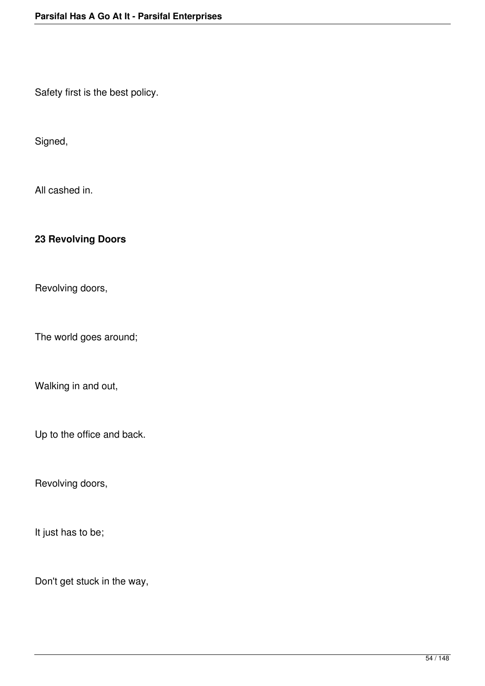Safety first is the best policy.

Signed,

All cashed in.

# **23 Revolving Doors**

Revolving doors,

The world goes around;

Walking in and out,

Up to the office and back.

Revolving doors,

It just has to be;

Don't get stuck in the way,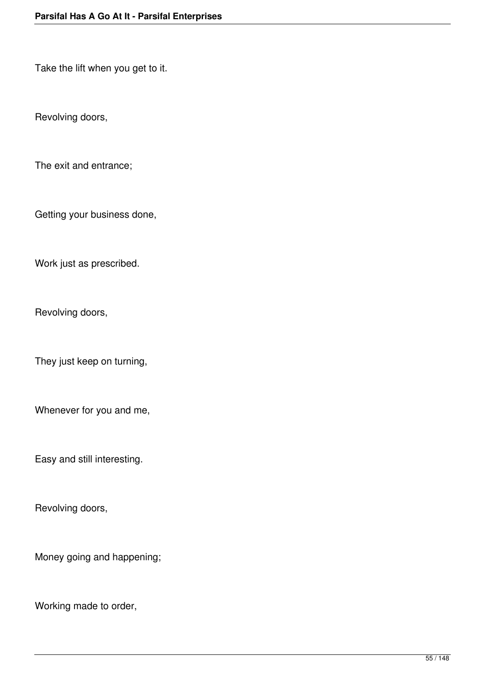Take the lift when you get to it.

Revolving doors,

The exit and entrance;

Getting your business done,

Work just as prescribed.

Revolving doors,

They just keep on turning,

Whenever for you and me,

Easy and still interesting.

Revolving doors,

Money going and happening;

Working made to order,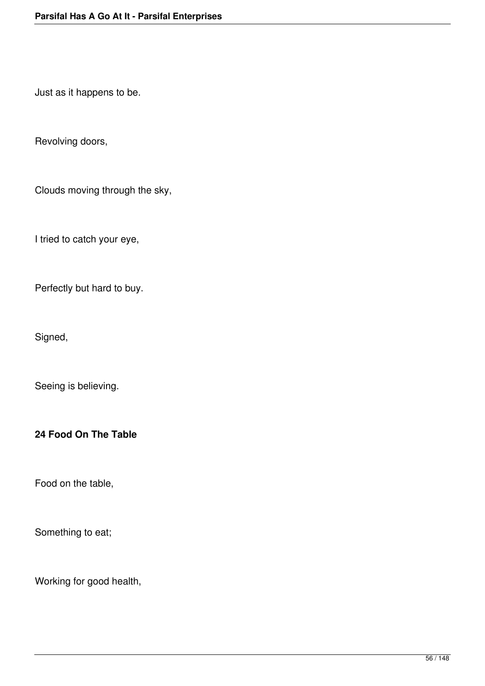Just as it happens to be.

Revolving doors,

Clouds moving through the sky,

I tried to catch your eye,

Perfectly but hard to buy.

Signed,

Seeing is believing.

### **24 Food On The Table**

Food on the table,

Something to eat;

Working for good health,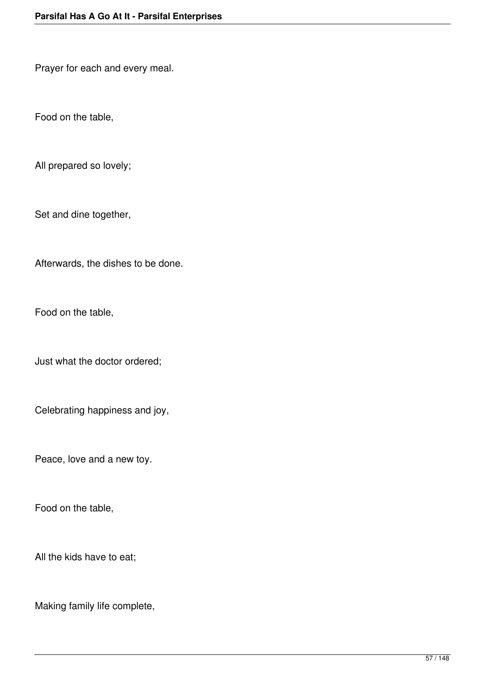Prayer for each and every meal.

Food on the table,

All prepared so lovely;

Set and dine together,

Afterwards, the dishes to be done.

Food on the table,

Just what the doctor ordered;

Celebrating happiness and joy,

Peace, love and a new toy.

Food on the table,

All the kids have to eat;

Making family life complete,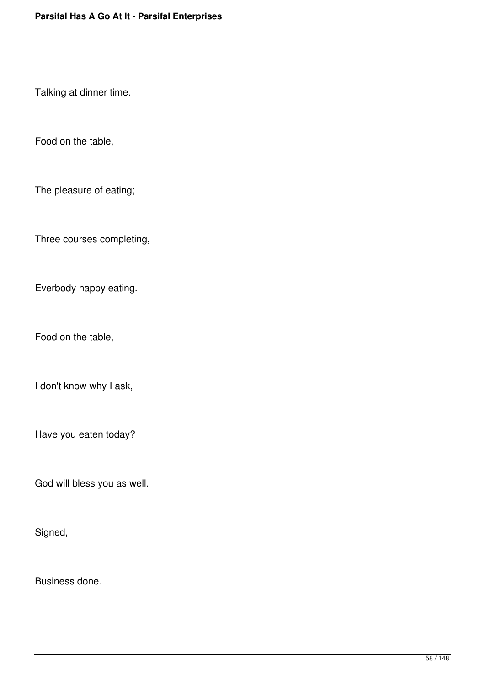Talking at dinner time.

Food on the table,

The pleasure of eating;

Three courses completing,

Everbody happy eating.

Food on the table,

I don't know why I ask,

Have you eaten today?

God will bless you as well.

Signed,

Business done.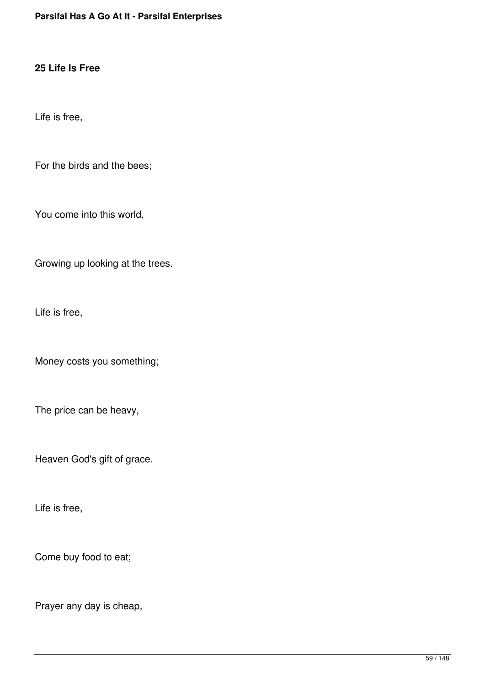#### **25 Life Is Free**

Life is free,

For the birds and the bees;

You come into this world,

Growing up looking at the trees.

Life is free,

Money costs you something;

The price can be heavy,

Heaven God's gift of grace.

Life is free,

Come buy food to eat;

Prayer any day is cheap,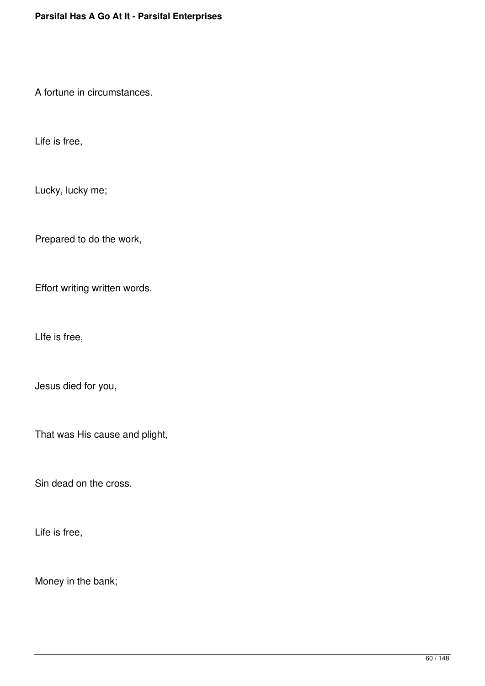A fortune in circumstances.

Life is free,

Lucky, lucky me;

Prepared to do the work,

Effort writing written words.

LIfe is free,

Jesus died for you,

That was His cause and plight,

Sin dead on the cross.

Life is free,

Money in the bank;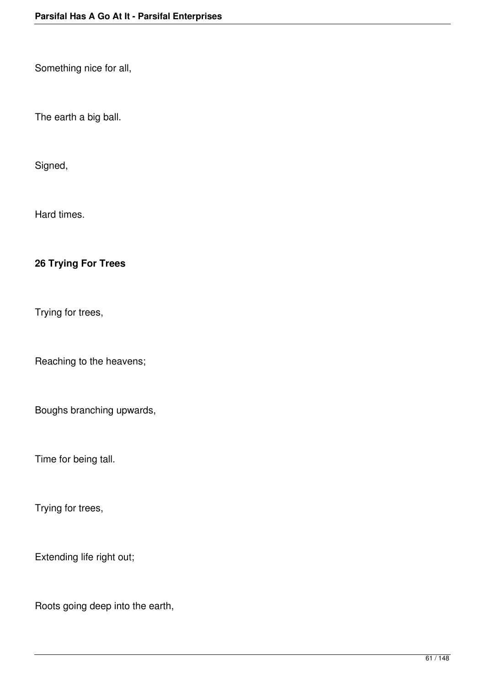Something nice for all,

The earth a big ball.

Signed,

Hard times.

## **26 Trying For Trees**

Trying for trees,

Reaching to the heavens;

Boughs branching upwards,

Time for being tall.

Trying for trees,

Extending life right out;

Roots going deep into the earth,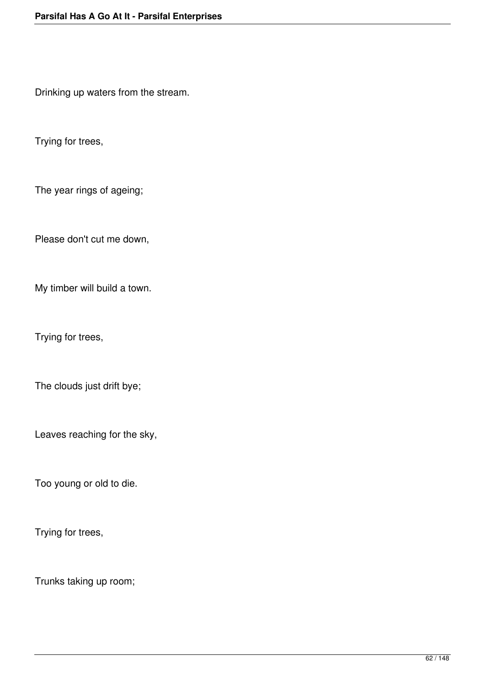Drinking up waters from the stream.

Trying for trees,

The year rings of ageing;

Please don't cut me down,

My timber will build a town.

Trying for trees,

The clouds just drift bye;

Leaves reaching for the sky,

Too young or old to die.

Trying for trees,

Trunks taking up room;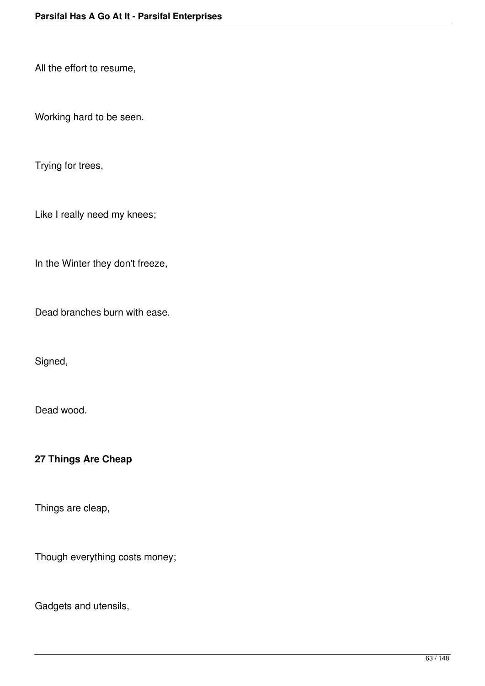All the effort to resume,

Working hard to be seen.

Trying for trees,

Like I really need my knees;

In the Winter they don't freeze,

Dead branches burn with ease.

Signed,

Dead wood.

### **27 Things Are Cheap**

Things are cleap,

Though everything costs money;

Gadgets and utensils,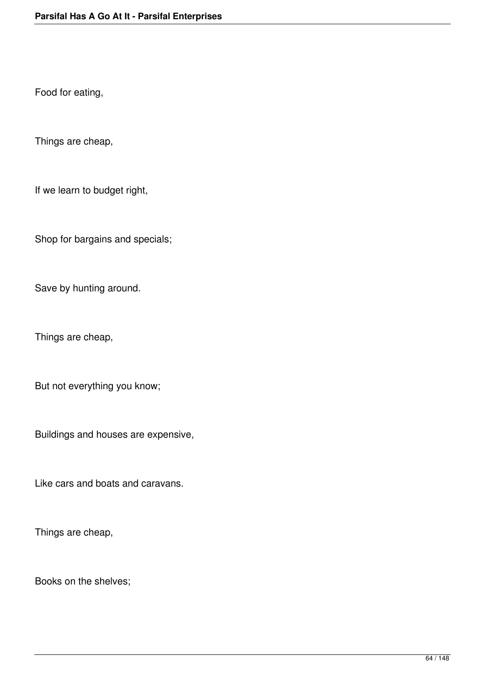Food for eating,

Things are cheap,

If we learn to budget right,

Shop for bargains and specials;

Save by hunting around.

Things are cheap,

But not everything you know;

Buildings and houses are expensive,

Like cars and boats and caravans.

Things are cheap,

Books on the shelves;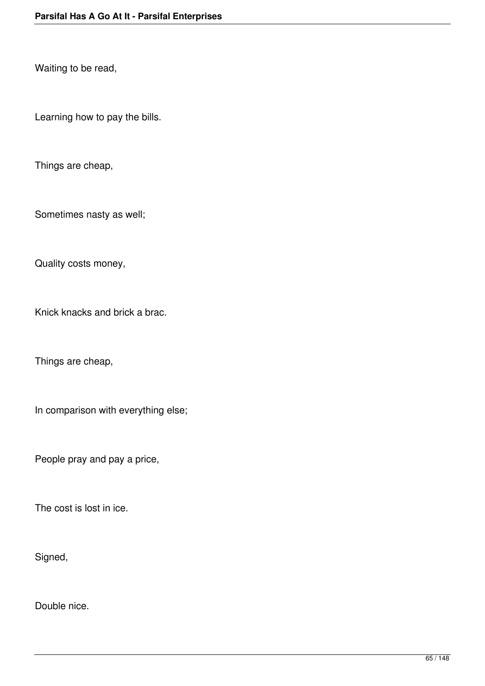Waiting to be read,

Learning how to pay the bills.

Things are cheap,

Sometimes nasty as well;

Quality costs money,

Knick knacks and brick a brac.

Things are cheap,

In comparison with everything else;

People pray and pay a price,

The cost is lost in ice.

Signed,

Double nice.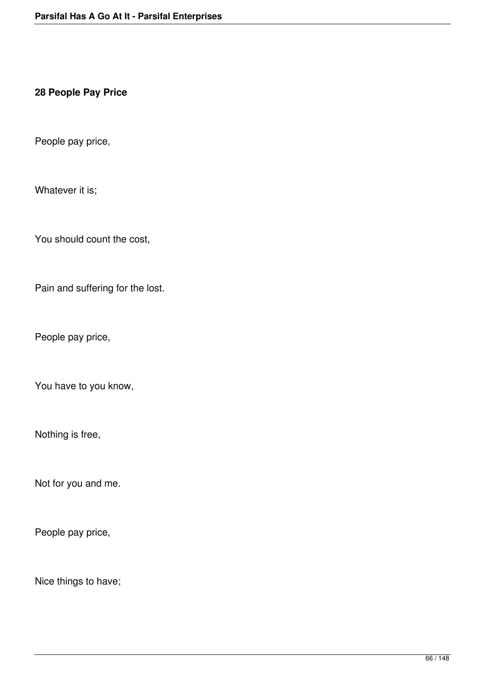#### **28 People Pay Price**

People pay price,

Whatever it is;

You should count the cost,

Pain and suffering for the lost.

People pay price,

You have to you know,

Nothing is free,

Not for you and me.

People pay price,

Nice things to have;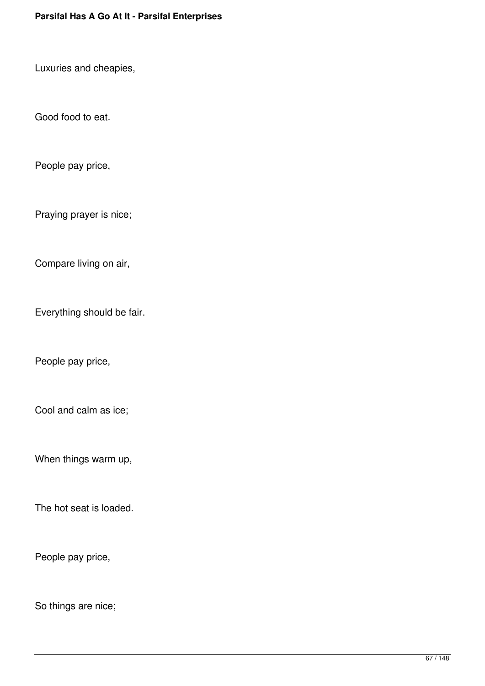Luxuries and cheapies,

Good food to eat.

People pay price,

Praying prayer is nice;

Compare living on air,

Everything should be fair.

People pay price,

Cool and calm as ice;

When things warm up,

The hot seat is loaded.

People pay price,

So things are nice;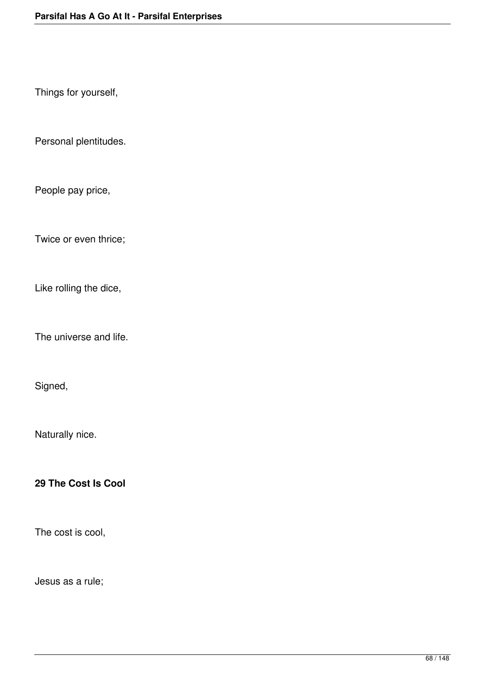Things for yourself,

Personal plentitudes.

People pay price,

Twice or even thrice;

Like rolling the dice,

The universe and life.

Signed,

Naturally nice.

**29 The Cost Is Cool**

The cost is cool,

Jesus as a rule;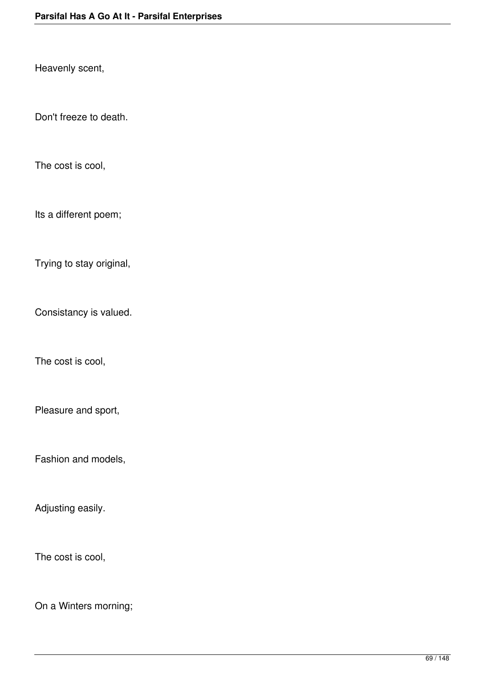Heavenly scent,

Don't freeze to death.

The cost is cool,

Its a different poem;

Trying to stay original,

Consistancy is valued.

The cost is cool,

Pleasure and sport,

Fashion and models,

Adjusting easily.

The cost is cool,

On a Winters morning;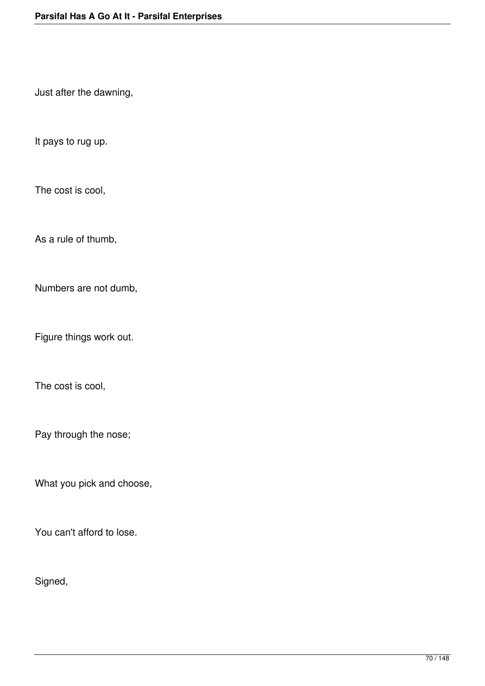Just after the dawning,

It pays to rug up.

The cost is cool,

As a rule of thumb,

Numbers are not dumb,

Figure things work out.

The cost is cool,

Pay through the nose;

What you pick and choose,

You can't afford to lose.

Signed,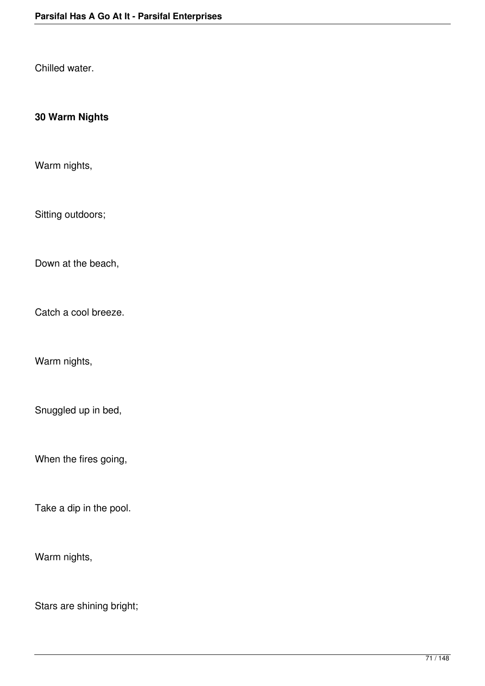Chilled water.

# **30 Warm Nights**

Warm nights,

Sitting outdoors;

Down at the beach,

Catch a cool breeze.

Warm nights,

Snuggled up in bed,

When the fires going,

Take a dip in the pool.

Warm nights,

Stars are shining bright;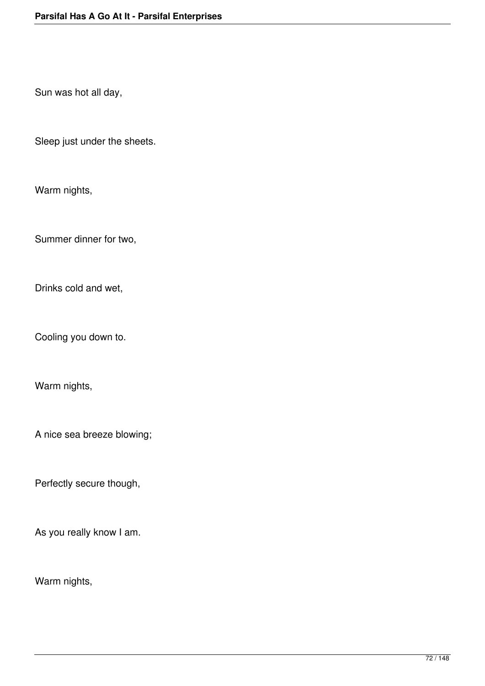Sun was hot all day,

Sleep just under the sheets.

Warm nights,

Summer dinner for two,

Drinks cold and wet,

Cooling you down to.

Warm nights,

A nice sea breeze blowing;

Perfectly secure though,

As you really know I am.

Warm nights,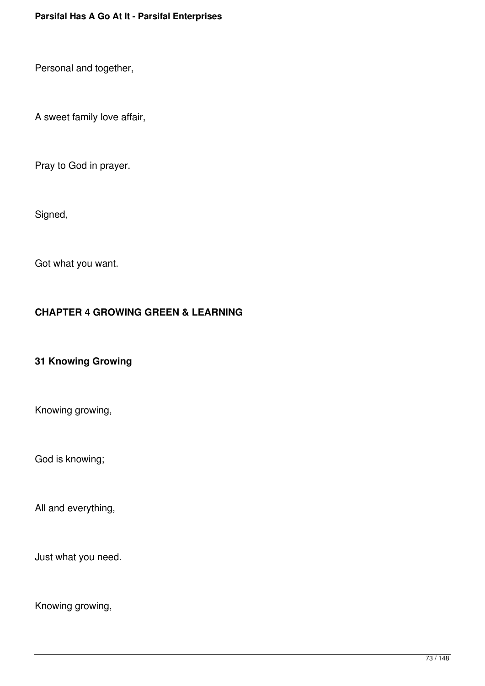Personal and together,

A sweet family love affair,

Pray to God in prayer.

Signed,

Got what you want.

# **CHAPTER 4 GROWING GREEN & LEARNING**

### **31 Knowing Growing**

Knowing growing,

God is knowing;

All and everything,

Just what you need.

Knowing growing,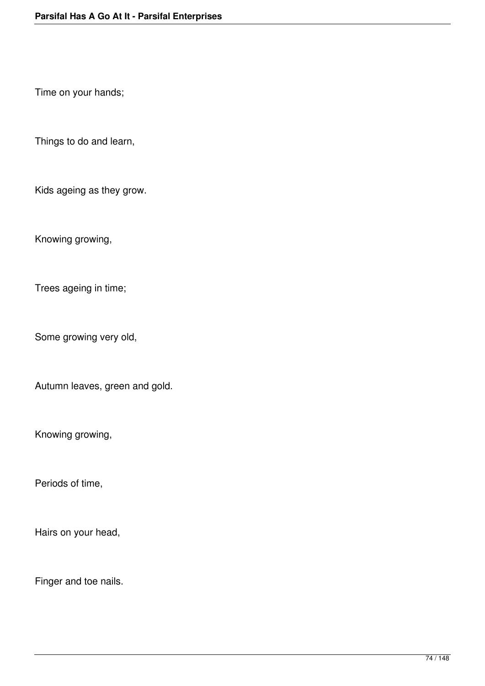Time on your hands;

Things to do and learn,

Kids ageing as they grow.

Knowing growing,

Trees ageing in time;

Some growing very old,

Autumn leaves, green and gold.

Knowing growing,

Periods of time,

Hairs on your head,

Finger and toe nails.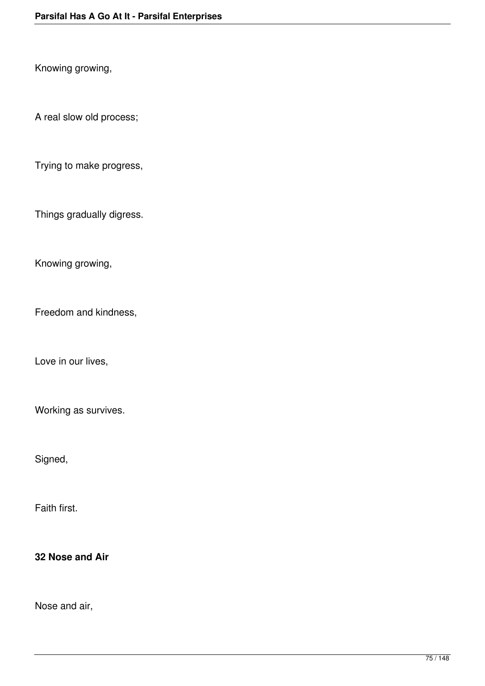Knowing growing,

A real slow old process;

Trying to make progress,

Things gradually digress.

Knowing growing,

Freedom and kindness,

Love in our lives,

Working as survives.

Signed,

Faith first.

**32 Nose and Air**

Nose and air,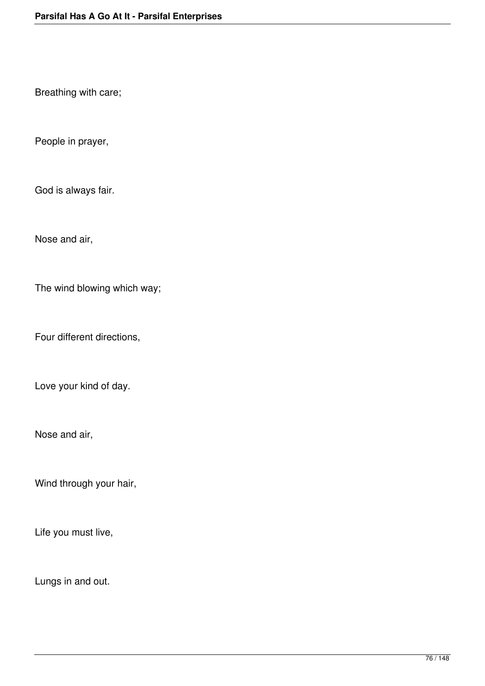Breathing with care;

People in prayer,

God is always fair.

Nose and air,

The wind blowing which way;

Four different directions,

Love your kind of day.

Nose and air,

Wind through your hair,

Life you must live,

Lungs in and out.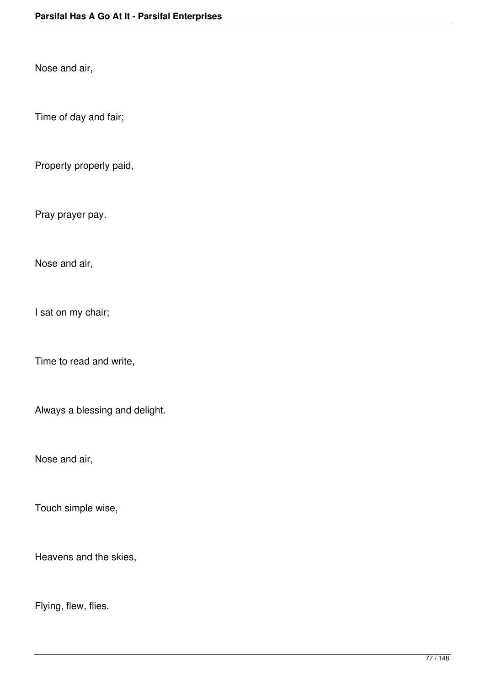Nose and air,

Time of day and fair;

Property properly paid,

Pray prayer pay.

Nose and air,

I sat on my chair;

Time to read and write,

Always a blessing and delight.

Nose and air,

Touch simple wise,

Heavens and the skies,

Flying, flew, flies.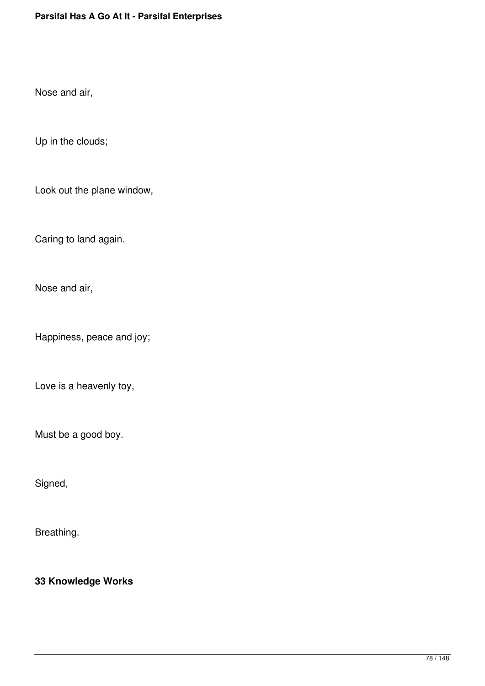Nose and air,

Up in the clouds;

Look out the plane window,

Caring to land again.

Nose and air,

Happiness, peace and joy;

Love is a heavenly toy,

Must be a good boy.

Signed,

Breathing.

**33 Knowledge Works**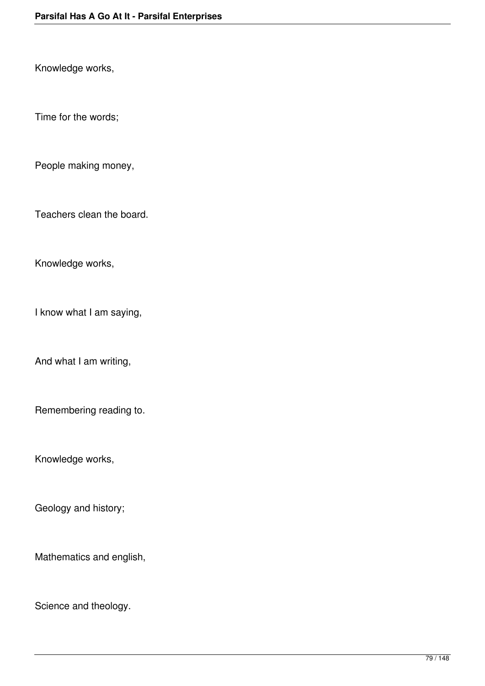Knowledge works,

Time for the words;

People making money,

Teachers clean the board.

Knowledge works,

I know what I am saying,

And what I am writing,

Remembering reading to.

Knowledge works,

Geology and history;

Mathematics and english,

Science and theology.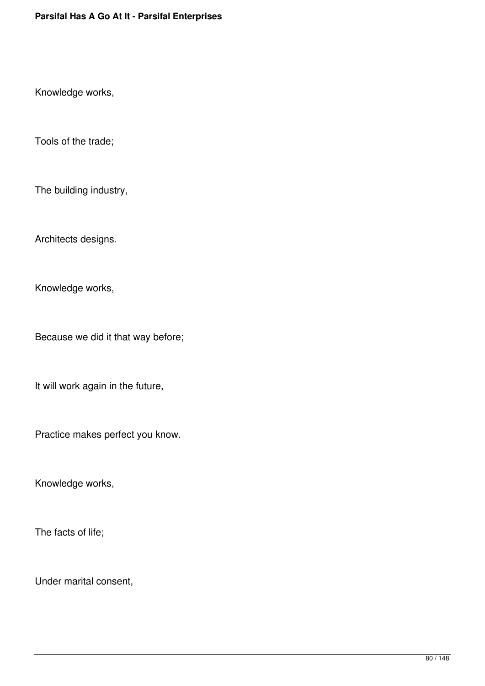Knowledge works,

Tools of the trade;

The building industry,

Architects designs.

Knowledge works,

Because we did it that way before;

It will work again in the future,

Practice makes perfect you know.

Knowledge works,

The facts of life;

Under marital consent,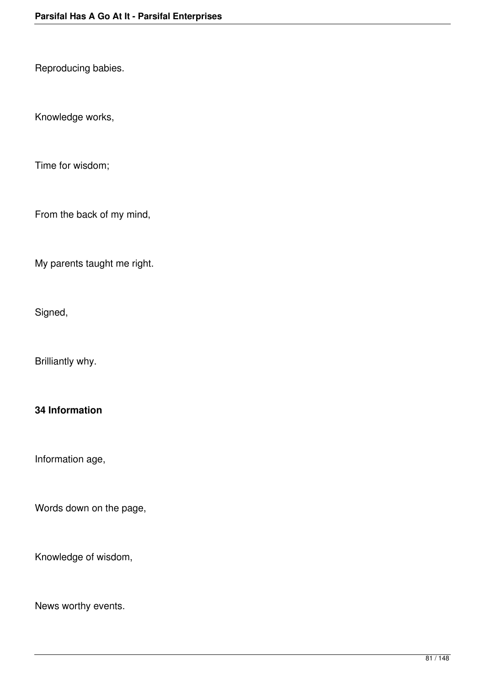Reproducing babies.

Knowledge works,

Time for wisdom;

From the back of my mind,

My parents taught me right.

Signed,

Brilliantly why.

### **34 Information**

Information age,

Words down on the page,

Knowledge of wisdom,

News worthy events.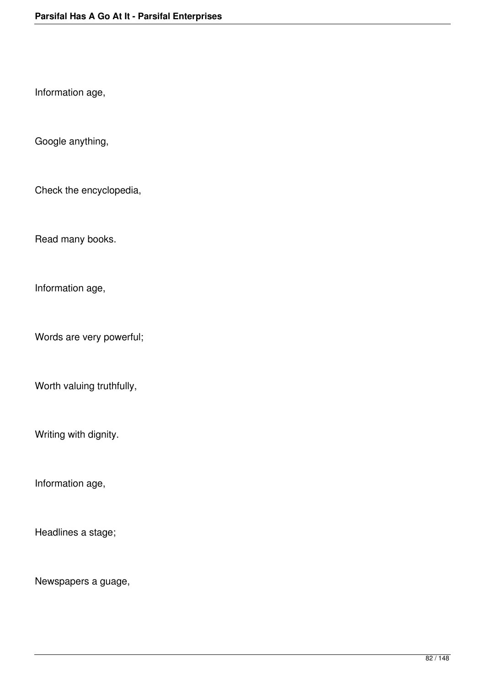Information age,

Google anything,

Check the encyclopedia,

Read many books.

Information age,

Words are very powerful;

Worth valuing truthfully,

Writing with dignity.

Information age,

Headlines a stage;

Newspapers a guage,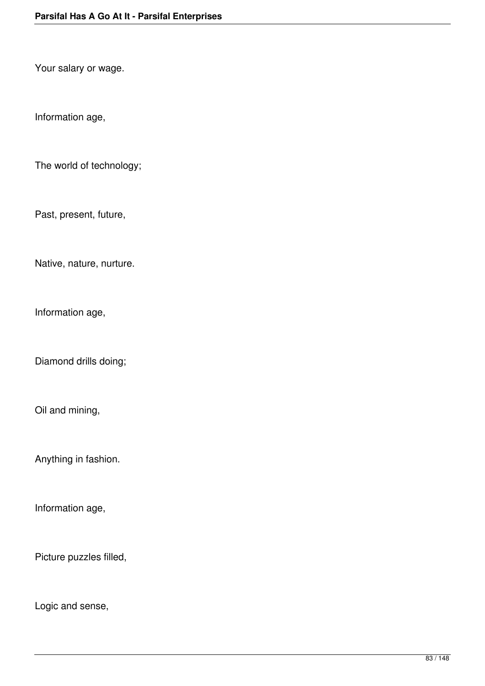Your salary or wage.

Information age,

The world of technology;

Past, present, future,

Native, nature, nurture.

Information age,

Diamond drills doing;

Oil and mining,

Anything in fashion.

Information age,

Picture puzzles filled,

Logic and sense,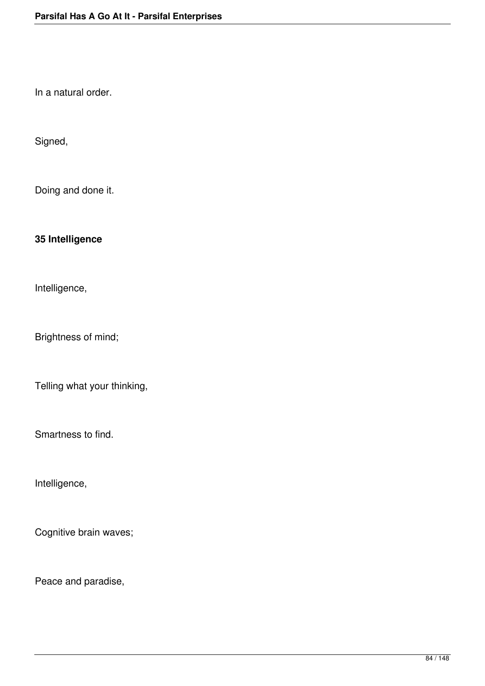In a natural order.

Signed,

Doing and done it.

# **35 Intelligence**

Intelligence,

Brightness of mind;

Telling what your thinking,

Smartness to find.

Intelligence,

Cognitive brain waves;

Peace and paradise,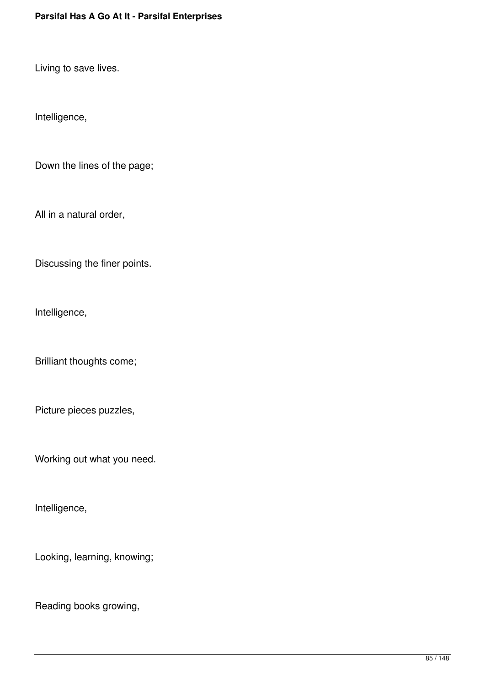Living to save lives.

Intelligence,

Down the lines of the page;

All in a natural order,

Discussing the finer points.

Intelligence,

Brilliant thoughts come;

Picture pieces puzzles,

Working out what you need.

Intelligence,

Looking, learning, knowing;

Reading books growing,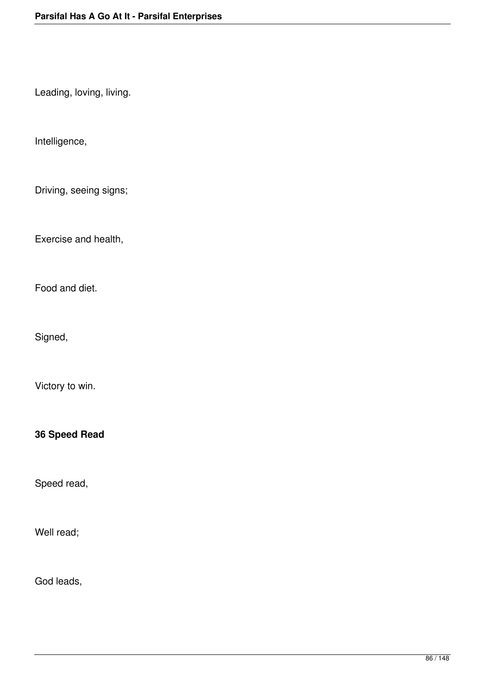Leading, loving, living.

Intelligence,

Driving, seeing signs;

Exercise and health,

Food and diet.

Signed,

Victory to win.

**36 Speed Read**

Speed read,

Well read;

God leads,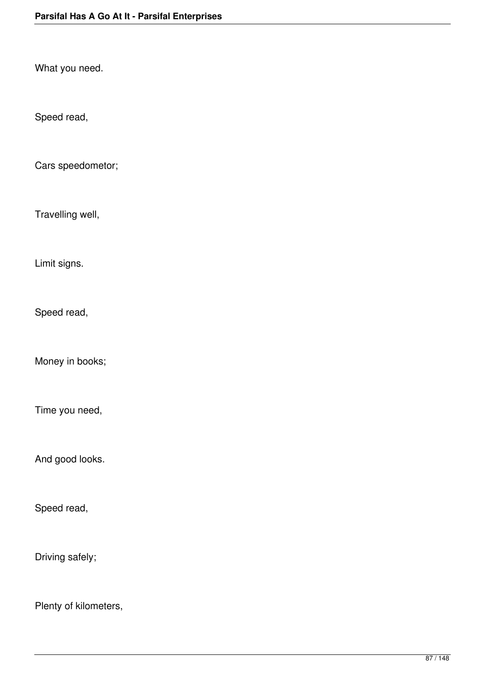What you need.

Speed read,

Cars speedometor;

Travelling well,

Limit signs.

Speed read,

Money in books;

Time you need,

And good looks.

Speed read,

Driving safely;

Plenty of kilometers,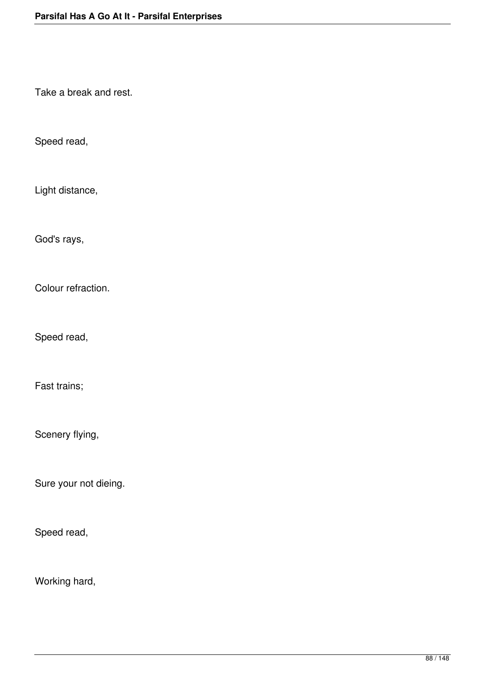Take a break and rest.

Speed read,

Light distance,

God's rays,

Colour refraction.

Speed read,

Fast trains;

Scenery flying,

Sure your not dieing.

Speed read,

Working hard,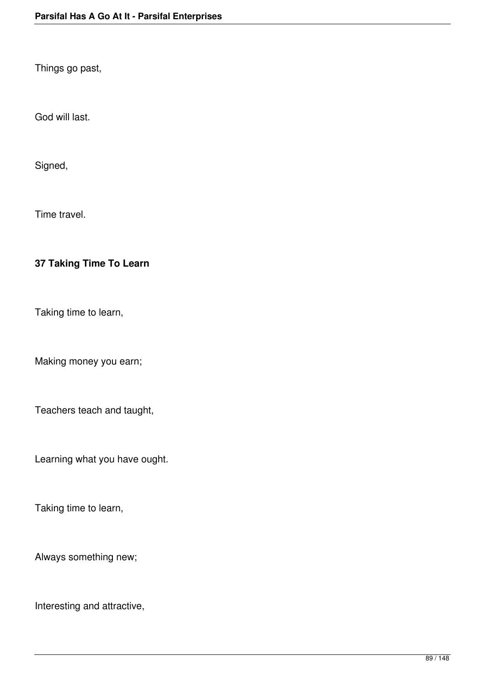Things go past,

God will last.

Signed,

Time travel.

# **37 Taking Time To Learn**

Taking time to learn,

Making money you earn;

Teachers teach and taught,

Learning what you have ought.

Taking time to learn,

Always something new;

Interesting and attractive,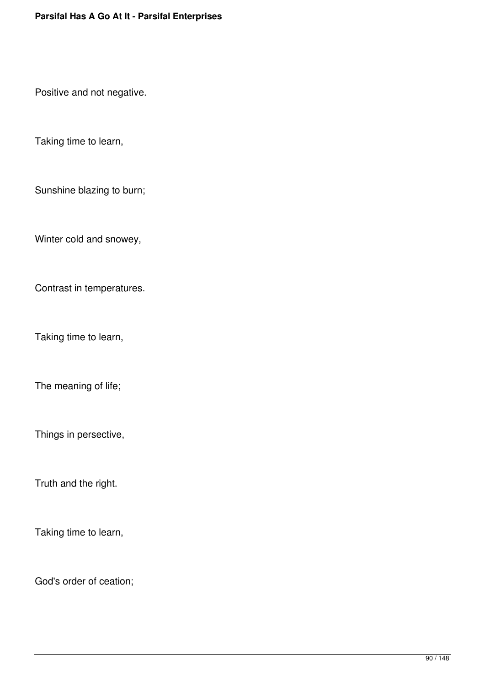Positive and not negative.

Taking time to learn,

Sunshine blazing to burn;

Winter cold and snowey,

Contrast in temperatures.

Taking time to learn,

The meaning of life;

Things in persective,

Truth and the right.

Taking time to learn,

God's order of ceation;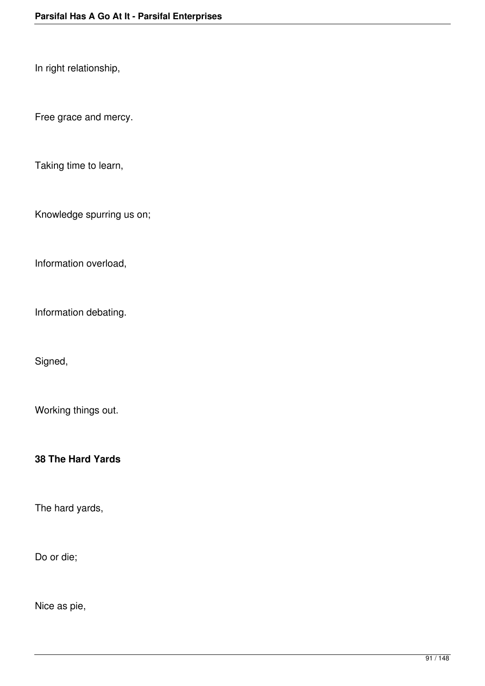In right relationship,

Free grace and mercy.

Taking time to learn,

Knowledge spurring us on;

Information overload,

Information debating.

Signed,

Working things out.

**38 The Hard Yards**

The hard yards,

Do or die;

Nice as pie,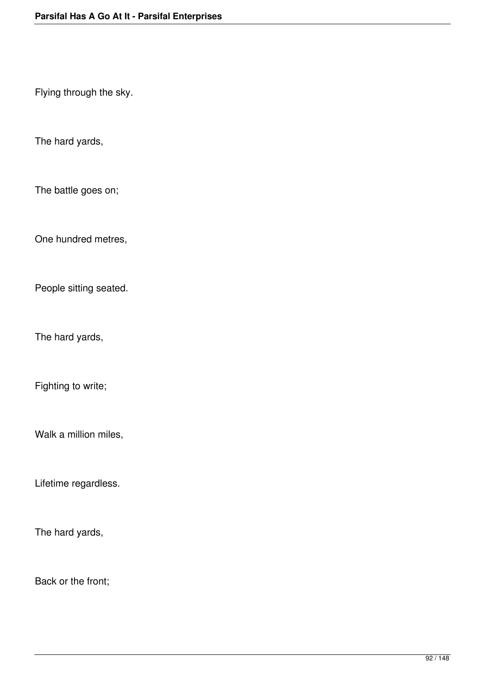Flying through the sky.

The hard yards,

The battle goes on;

One hundred metres,

People sitting seated.

The hard yards,

Fighting to write;

Walk a million miles,

Lifetime regardless.

The hard yards,

Back or the front;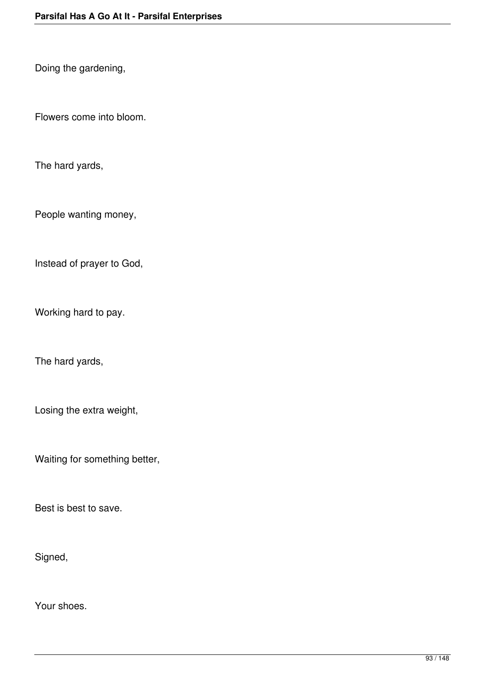Doing the gardening,

Flowers come into bloom.

The hard yards,

People wanting money,

Instead of prayer to God,

Working hard to pay.

The hard yards,

Losing the extra weight,

Waiting for something better,

Best is best to save.

Signed,

Your shoes.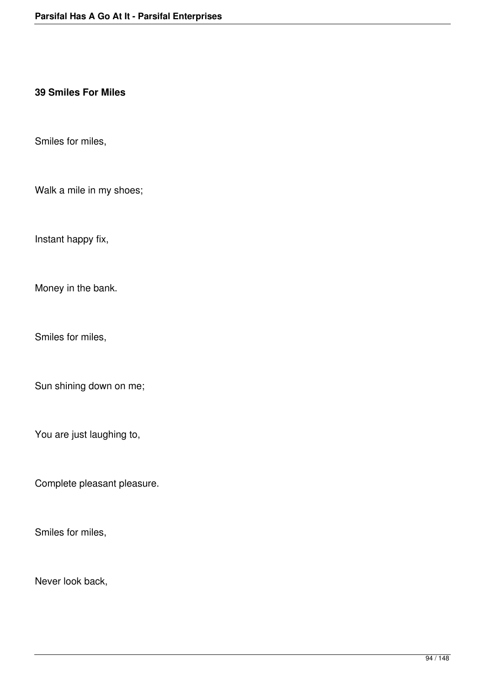#### **39 Smiles For Miles**

Smiles for miles,

Walk a mile in my shoes;

Instant happy fix,

Money in the bank.

Smiles for miles,

Sun shining down on me;

You are just laughing to,

Complete pleasant pleasure.

Smiles for miles,

Never look back,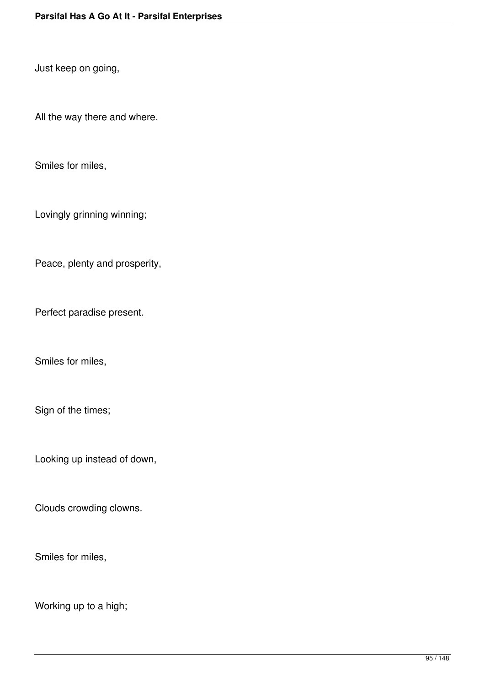Just keep on going,

All the way there and where.

Smiles for miles,

Lovingly grinning winning;

Peace, plenty and prosperity,

Perfect paradise present.

Smiles for miles,

Sign of the times;

Looking up instead of down,

Clouds crowding clowns.

Smiles for miles,

Working up to a high;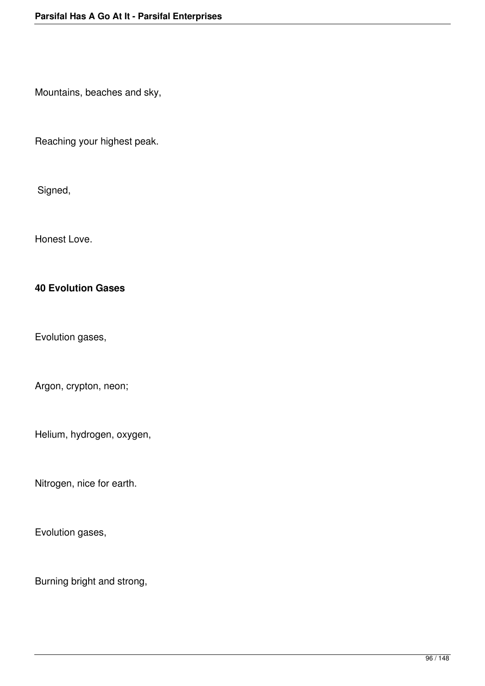Mountains, beaches and sky,

Reaching your highest peak.

Signed,

Honest Love.

### **40 Evolution Gases**

Evolution gases,

Argon, crypton, neon;

Helium, hydrogen, oxygen,

Nitrogen, nice for earth.

Evolution gases,

Burning bright and strong,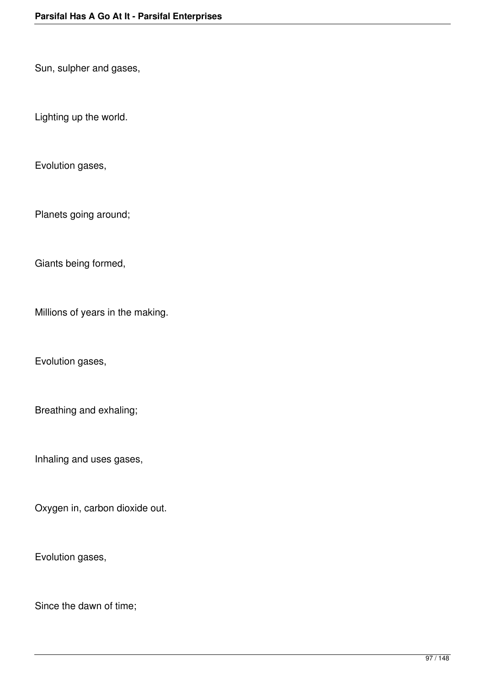Sun, sulpher and gases,

Lighting up the world.

Evolution gases,

Planets going around;

Giants being formed,

Millions of years in the making.

Evolution gases,

Breathing and exhaling;

Inhaling and uses gases,

Oxygen in, carbon dioxide out.

Evolution gases,

Since the dawn of time;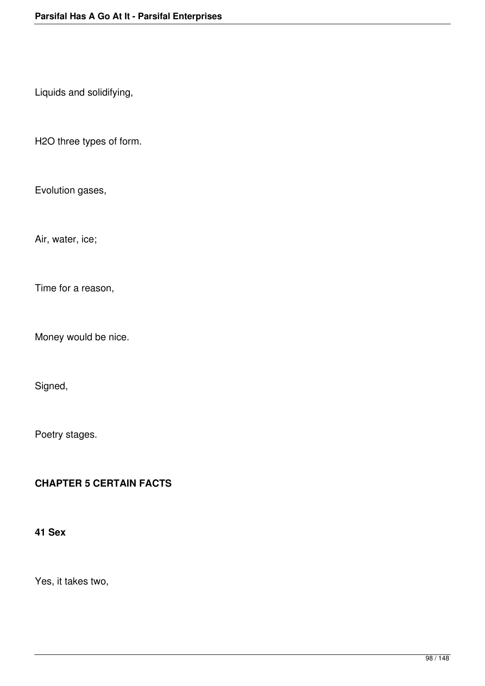Liquids and solidifying,

H2O three types of form.

Evolution gases,

Air, water, ice;

Time for a reason,

Money would be nice.

Signed,

Poetry stages.

#### **CHAPTER 5 CERTAIN FACTS**

# **41 Sex**

Yes, it takes two,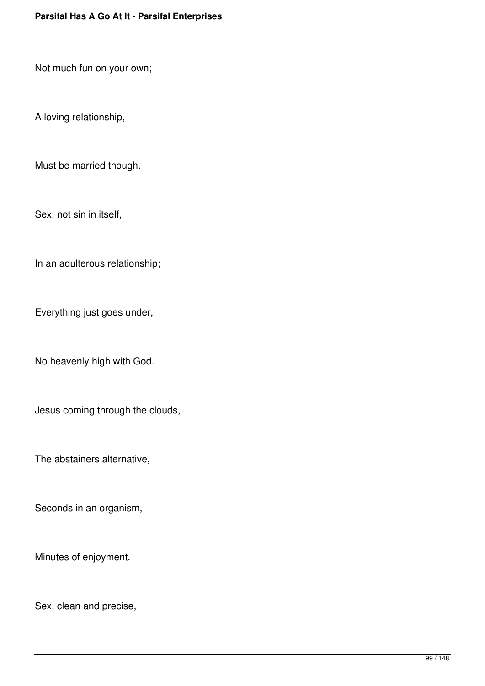Not much fun on your own;

A loving relationship,

Must be married though.

Sex, not sin in itself,

In an adulterous relationship;

Everything just goes under,

No heavenly high with God.

Jesus coming through the clouds,

The abstainers alternative,

Seconds in an organism,

Minutes of enjoyment.

Sex, clean and precise,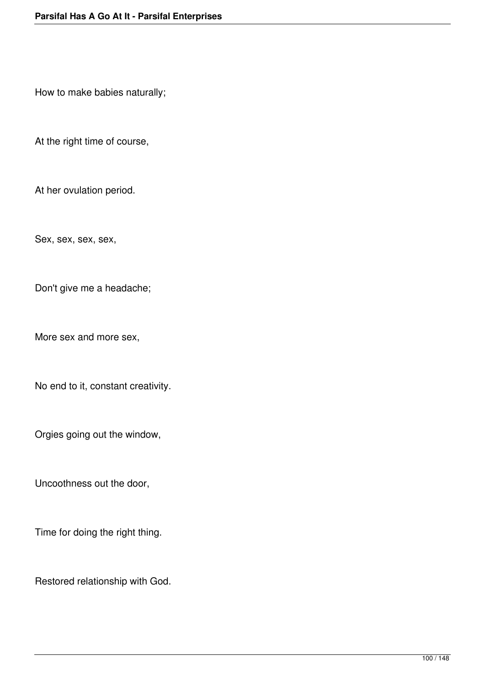How to make babies naturally;

At the right time of course,

At her ovulation period.

Sex, sex, sex, sex,

Don't give me a headache;

More sex and more sex,

No end to it, constant creativity.

Orgies going out the window,

Uncoothness out the door,

Time for doing the right thing.

Restored relationship with God.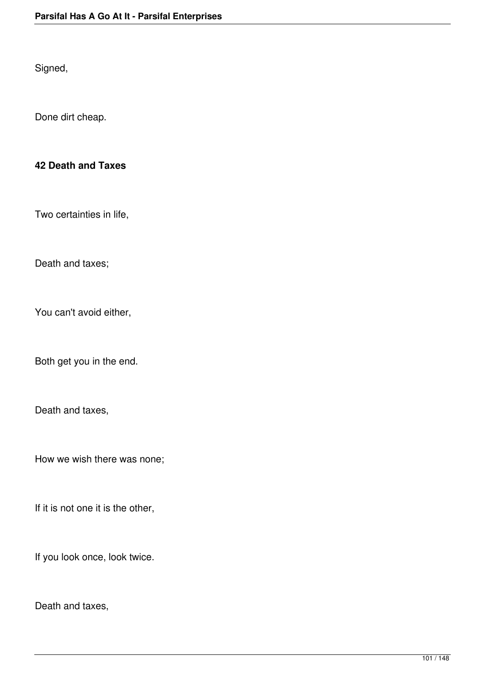Signed,

Done dirt cheap.

### **42 Death and Taxes**

Two certainties in life,

Death and taxes;

You can't avoid either,

Both get you in the end.

Death and taxes,

How we wish there was none;

If it is not one it is the other,

If you look once, look twice.

Death and taxes,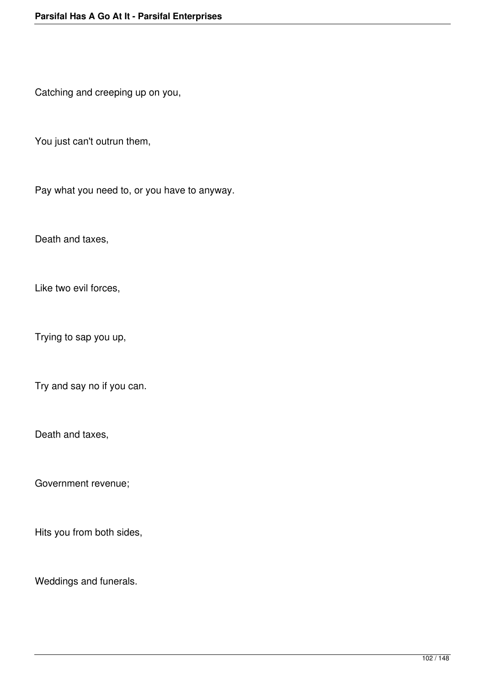Catching and creeping up on you,

You just can't outrun them,

Pay what you need to, or you have to anyway.

Death and taxes,

Like two evil forces,

Trying to sap you up,

Try and say no if you can.

Death and taxes,

Government revenue;

Hits you from both sides,

Weddings and funerals.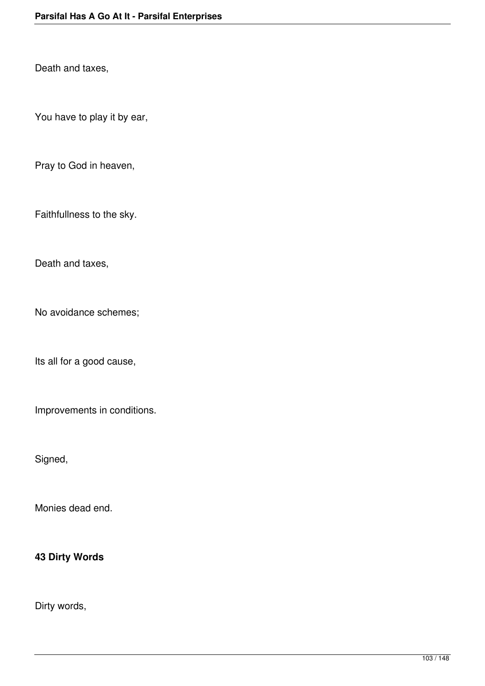Death and taxes,

You have to play it by ear,

Pray to God in heaven,

Faithfullness to the sky.

Death and taxes,

No avoidance schemes;

Its all for a good cause,

Improvements in conditions.

Signed,

Monies dead end.

#### **43 Dirty Words**

Dirty words,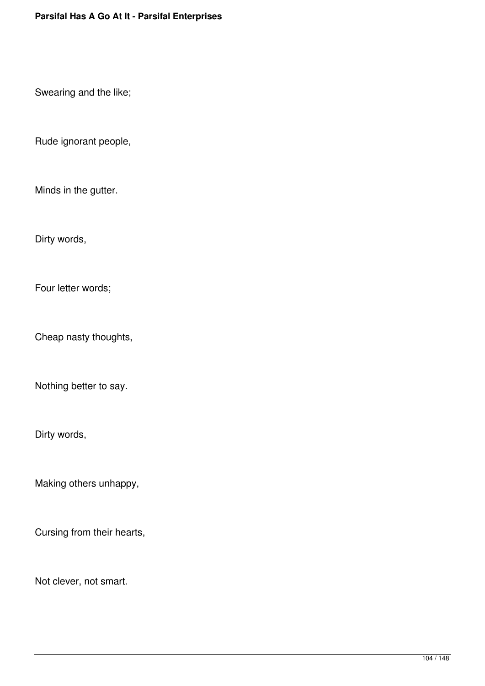Swearing and the like;

Rude ignorant people,

Minds in the gutter.

Dirty words,

Four letter words;

Cheap nasty thoughts,

Nothing better to say.

Dirty words,

Making others unhappy,

Cursing from their hearts,

Not clever, not smart.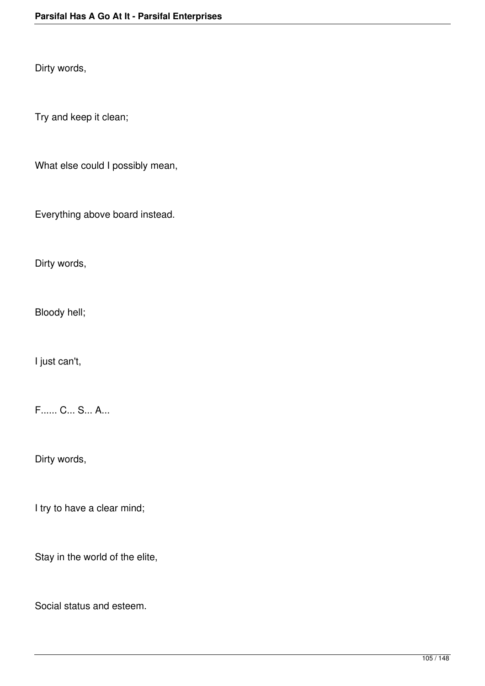Dirty words,

Try and keep it clean;

What else could I possibly mean,

Everything above board instead.

Dirty words,

Bloody hell;

I just can't,

F...... C... S... A...

Dirty words,

I try to have a clear mind;

Stay in the world of the elite,

Social status and esteem.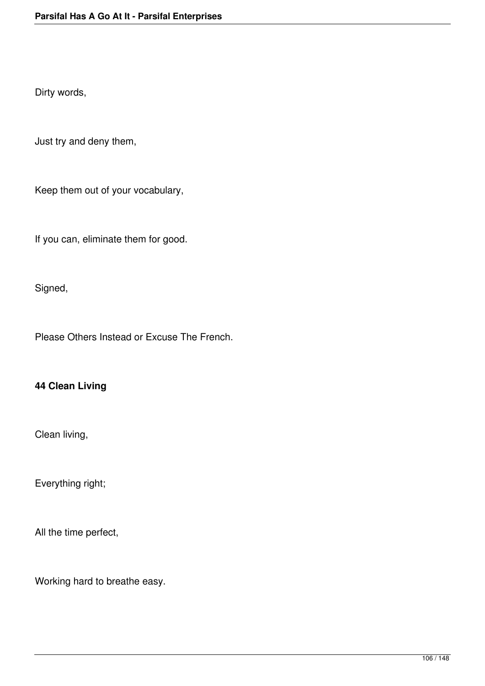Dirty words,

Just try and deny them,

Keep them out of your vocabulary,

If you can, eliminate them for good.

Signed,

Please Others Instead or Excuse The French.

# **44 Clean Living**

Clean living,

Everything right;

All the time perfect,

Working hard to breathe easy.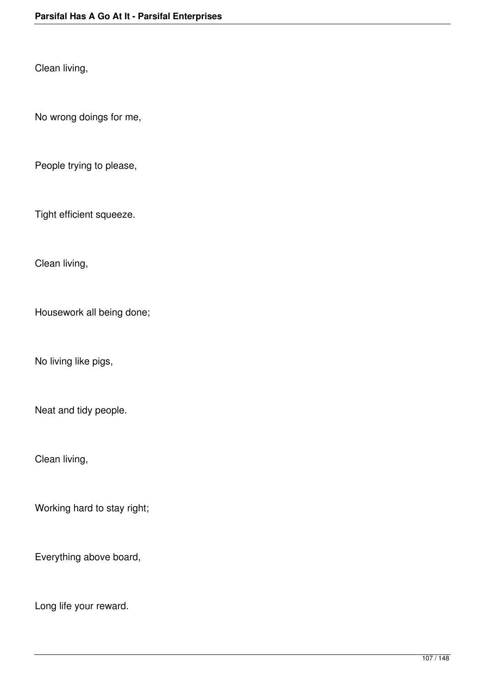Clean living,

No wrong doings for me,

People trying to please,

Tight efficient squeeze.

Clean living,

Housework all being done;

No living like pigs,

Neat and tidy people.

Clean living,

Working hard to stay right;

Everything above board,

Long life your reward.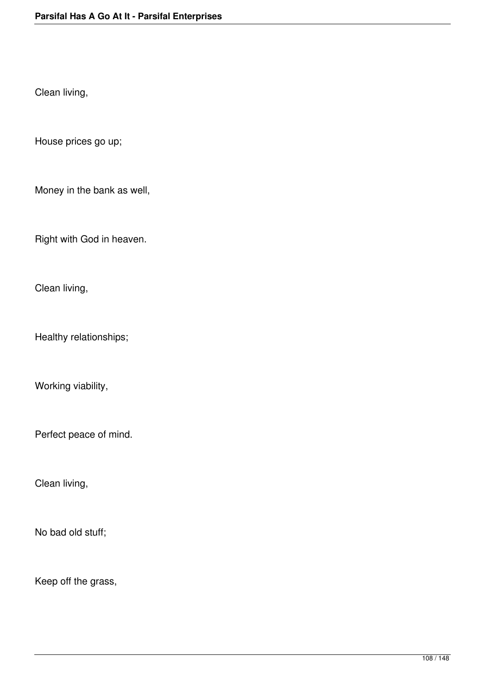Clean living,

House prices go up;

Money in the bank as well,

Right with God in heaven.

Clean living,

Healthy relationships;

Working viability,

Perfect peace of mind.

Clean living,

No bad old stuff;

Keep off the grass,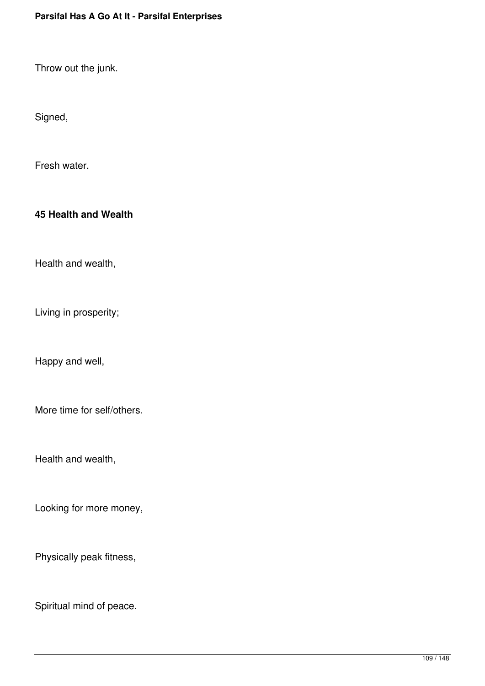Throw out the junk.

Signed,

Fresh water.

### **45 Health and Wealth**

Health and wealth,

Living in prosperity;

Happy and well,

More time for self/others.

Health and wealth,

Looking for more money,

Physically peak fitness,

Spiritual mind of peace.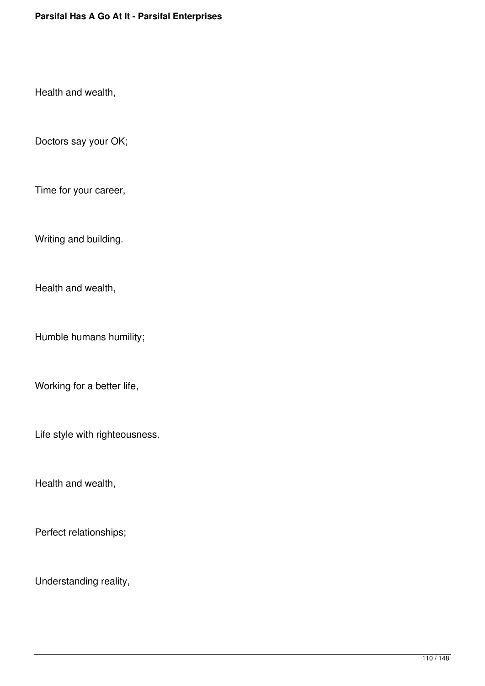Health and wealth,

Doctors say your OK;

Time for your career,

Writing and building.

Health and wealth,

Humble humans humility;

Working for a better life,

Life style with righteousness.

Health and wealth,

Perfect relationships;

Understanding reality,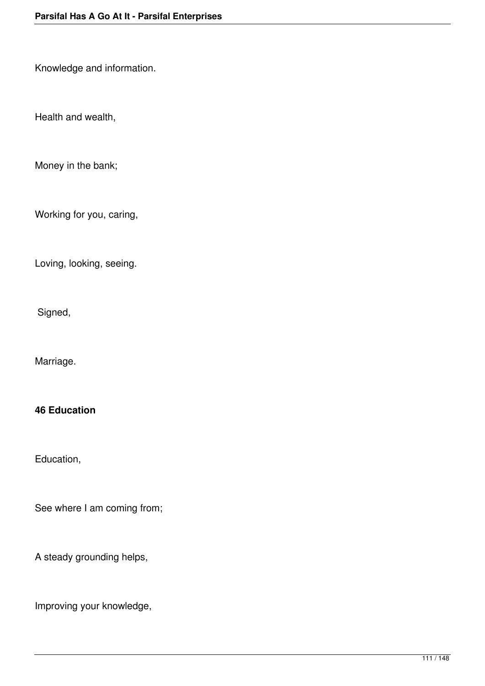Knowledge and information.

Health and wealth,

Money in the bank;

Working for you, caring,

Loving, looking, seeing.

Signed,

Marriage.

#### **46 Education**

Education,

See where I am coming from;

A steady grounding helps,

Improving your knowledge,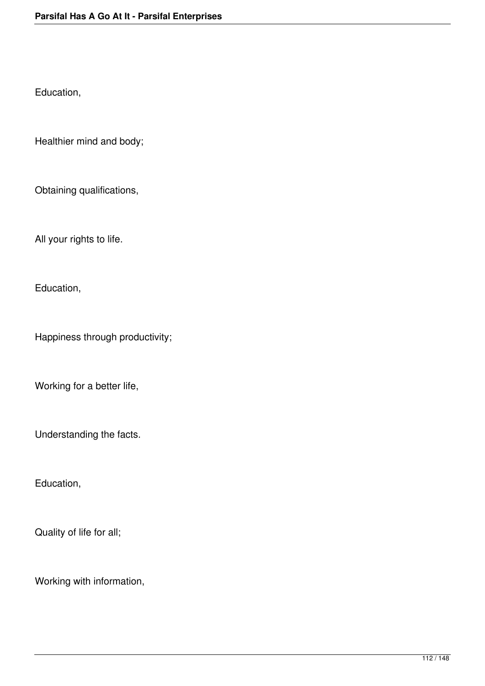Education,

Healthier mind and body;

Obtaining qualifications,

All your rights to life.

Education,

Happiness through productivity;

Working for a better life,

Understanding the facts.

Education,

Quality of life for all;

Working with information,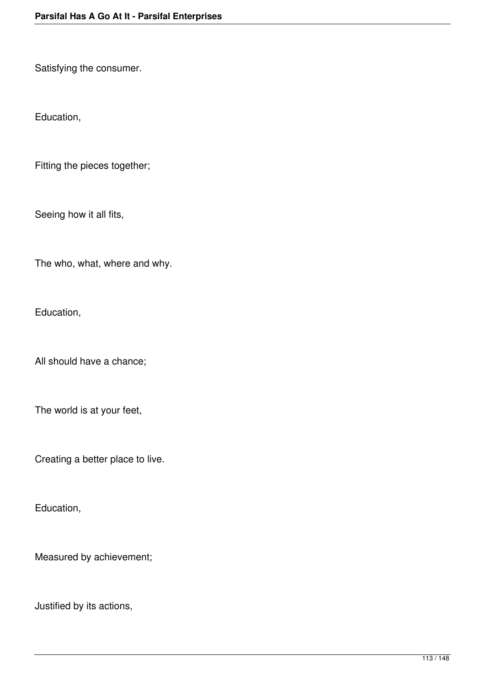Satisfying the consumer.

Education,

Fitting the pieces together;

Seeing how it all fits,

The who, what, where and why.

Education,

All should have a chance;

The world is at your feet,

Creating a better place to live.

Education,

Measured by achievement;

Justified by its actions,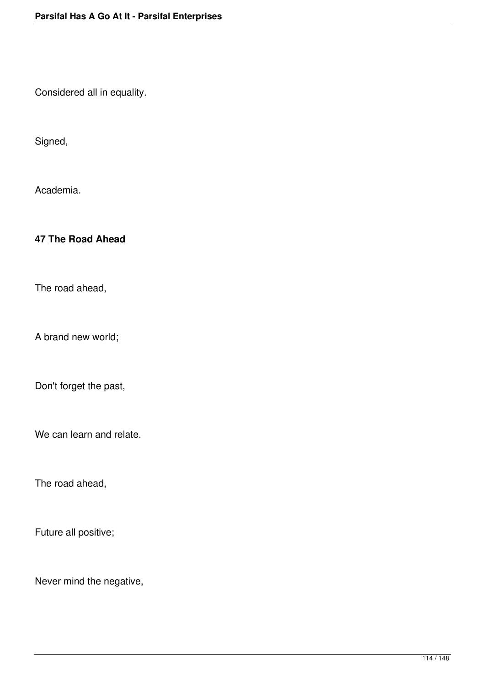Considered all in equality.

Signed,

Academia.

### **47 The Road Ahead**

The road ahead,

A brand new world;

Don't forget the past,

We can learn and relate.

The road ahead,

Future all positive;

Never mind the negative,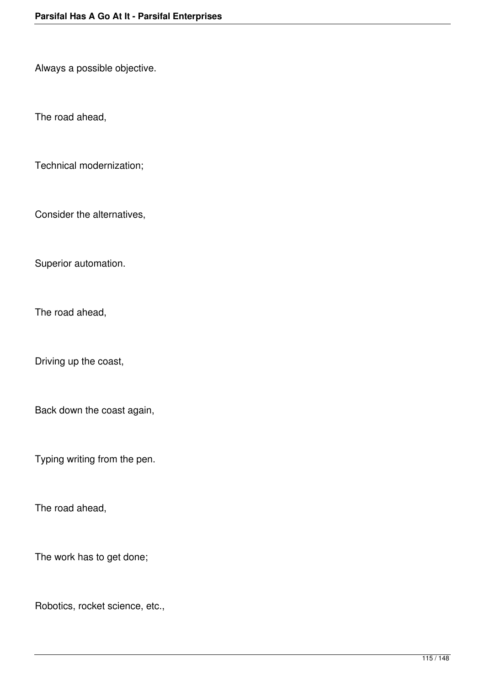Always a possible objective.

The road ahead,

Technical modernization;

Consider the alternatives,

Superior automation.

The road ahead,

Driving up the coast,

Back down the coast again,

Typing writing from the pen.

The road ahead,

The work has to get done;

Robotics, rocket science, etc.,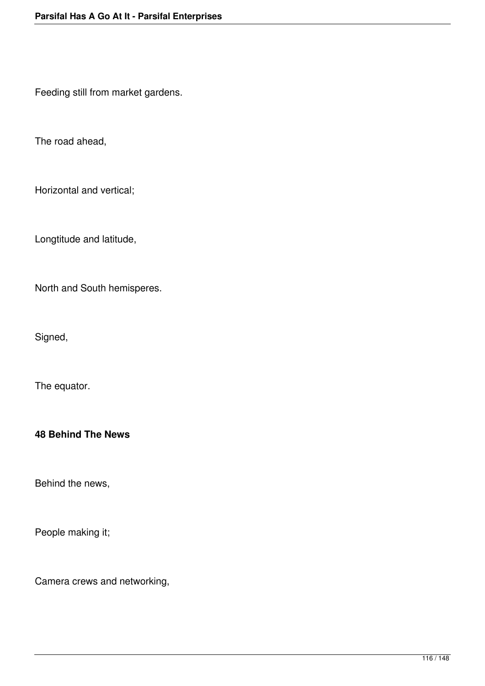Feeding still from market gardens.

The road ahead,

Horizontal and vertical;

Longtitude and latitude,

North and South hemisperes.

Signed,

The equator.

# **48 Behind The News**

Behind the news,

People making it;

Camera crews and networking,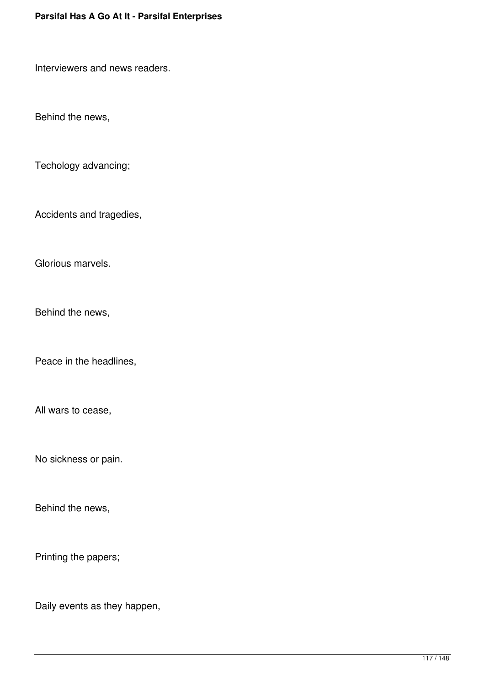Interviewers and news readers.

Behind the news,

Techology advancing;

Accidents and tragedies,

Glorious marvels.

Behind the news,

Peace in the headlines,

All wars to cease,

No sickness or pain.

Behind the news,

Printing the papers;

Daily events as they happen,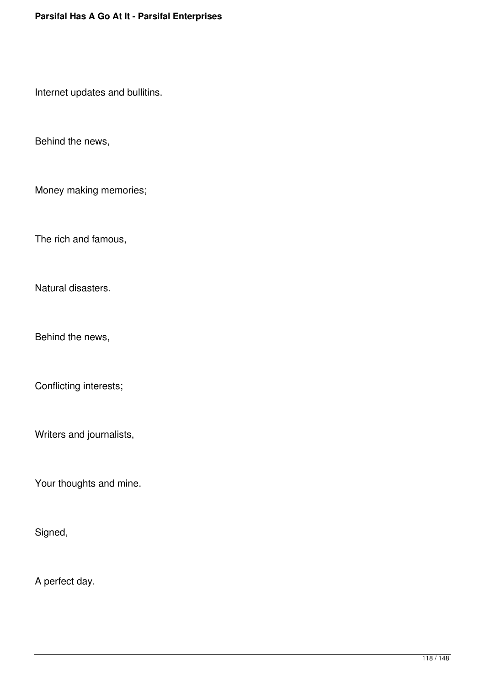Internet updates and bullitins.

Behind the news,

Money making memories;

The rich and famous,

Natural disasters.

Behind the news,

Conflicting interests;

Writers and journalists,

Your thoughts and mine.

Signed,

A perfect day.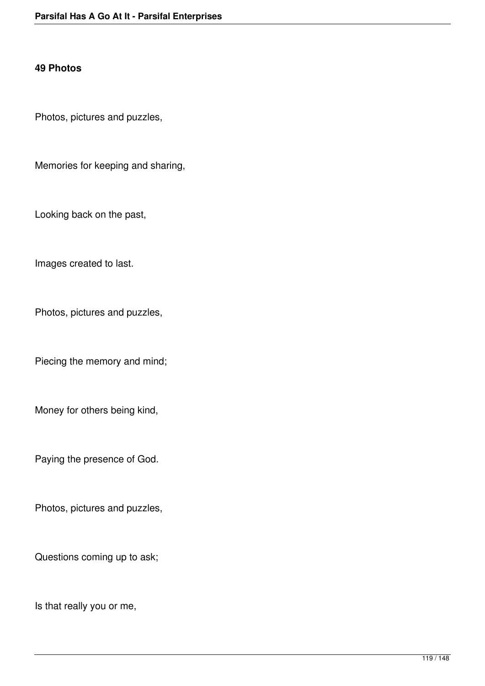#### **49 Photos**

Photos, pictures and puzzles,

Memories for keeping and sharing,

Looking back on the past,

Images created to last.

Photos, pictures and puzzles,

Piecing the memory and mind;

Money for others being kind,

Paying the presence of God.

Photos, pictures and puzzles,

Questions coming up to ask;

Is that really you or me,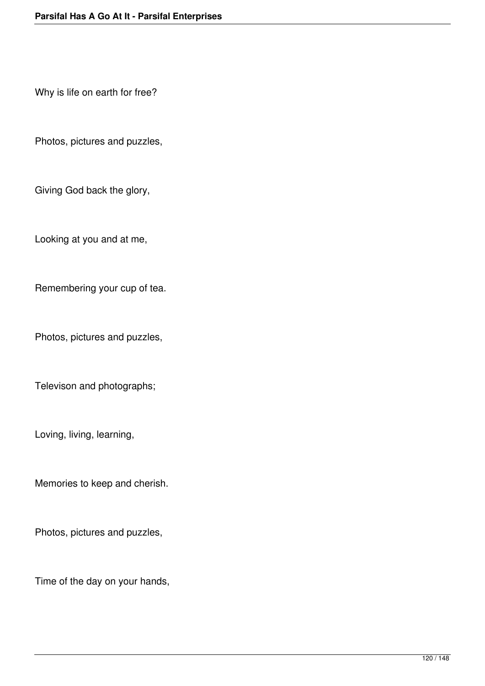Why is life on earth for free?

Photos, pictures and puzzles,

Giving God back the glory,

Looking at you and at me,

Remembering your cup of tea.

Photos, pictures and puzzles,

Televison and photographs;

Loving, living, learning,

Memories to keep and cherish.

Photos, pictures and puzzles,

Time of the day on your hands,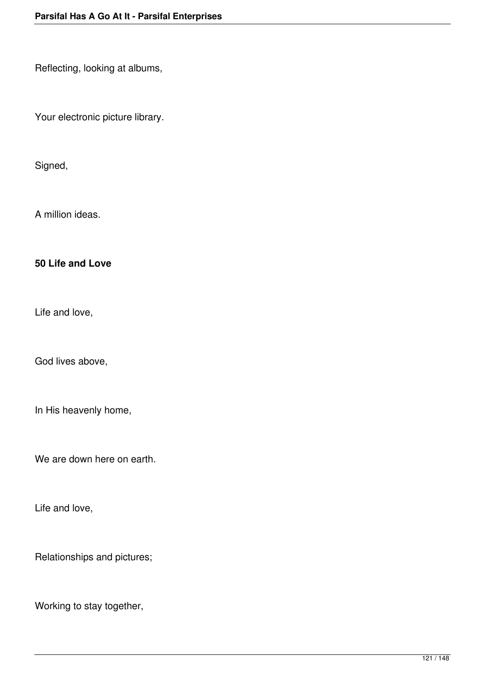Reflecting, looking at albums,

Your electronic picture library.

Signed,

A million ideas.

### **50 Life and Love**

Life and love,

God lives above,

In His heavenly home,

We are down here on earth.

Life and love,

Relationships and pictures;

Working to stay together,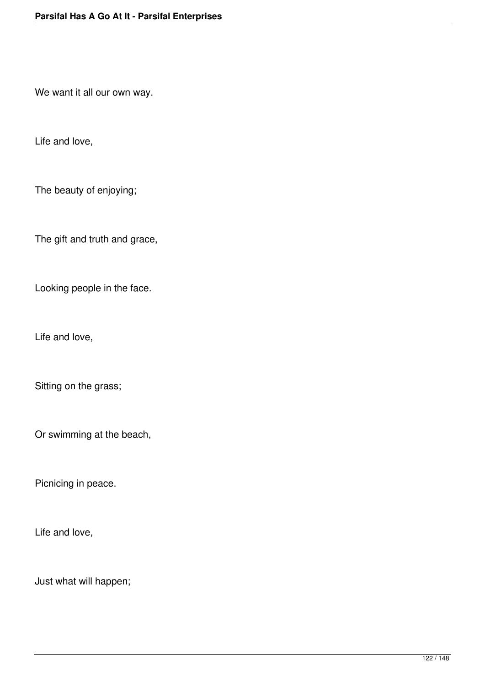We want it all our own way.

Life and love,

The beauty of enjoying;

The gift and truth and grace,

Looking people in the face.

Life and love,

Sitting on the grass;

Or swimming at the beach,

Picnicing in peace.

Life and love,

Just what will happen;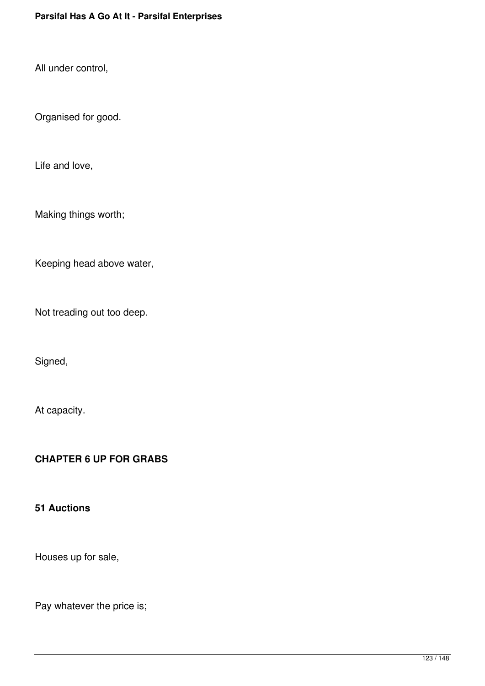All under control,

Organised for good.

Life and love,

Making things worth;

Keeping head above water,

Not treading out too deep.

Signed,

At capacity.

# **CHAPTER 6 UP FOR GRABS**

#### **51 Auctions**

Houses up for sale,

Pay whatever the price is;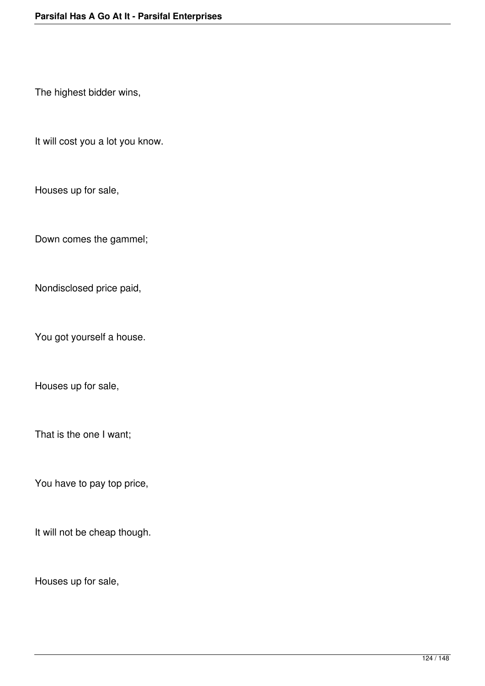The highest bidder wins,

It will cost you a lot you know.

Houses up for sale,

Down comes the gammel;

Nondisclosed price paid,

You got yourself a house.

Houses up for sale,

That is the one I want;

You have to pay top price,

It will not be cheap though.

Houses up for sale,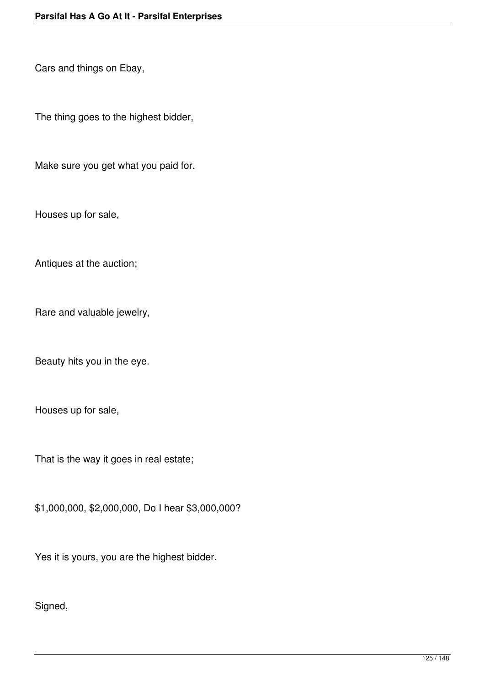Cars and things on Ebay,

The thing goes to the highest bidder,

Make sure you get what you paid for.

Houses up for sale,

Antiques at the auction;

Rare and valuable jewelry,

Beauty hits you in the eye.

Houses up for sale,

That is the way it goes in real estate;

\$1,000,000, \$2,000,000, Do I hear \$3,000,000?

Yes it is yours, you are the highest bidder.

Signed,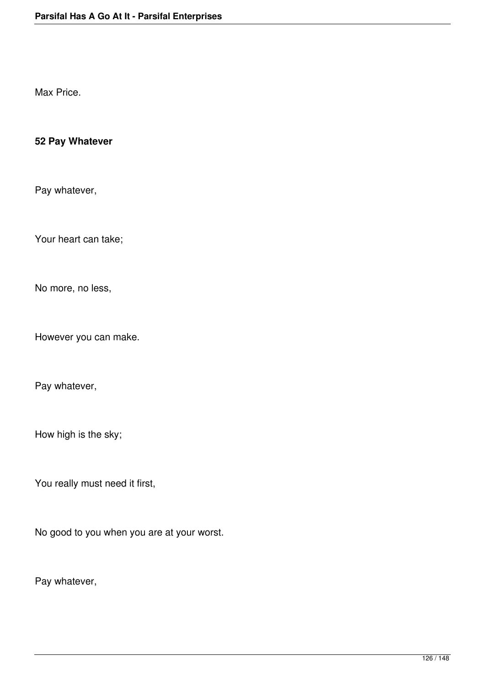Max Price.

# **52 Pay Whatever**

Pay whatever,

Your heart can take;

No more, no less,

However you can make.

Pay whatever,

How high is the sky;

You really must need it first,

No good to you when you are at your worst.

Pay whatever,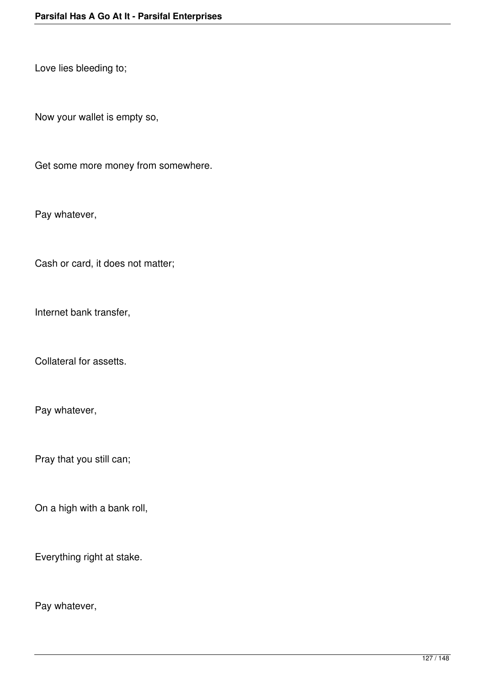Love lies bleeding to;

Now your wallet is empty so,

Get some more money from somewhere.

Pay whatever,

Cash or card, it does not matter;

Internet bank transfer,

Collateral for assetts.

Pay whatever,

Pray that you still can;

On a high with a bank roll,

Everything right at stake.

Pay whatever,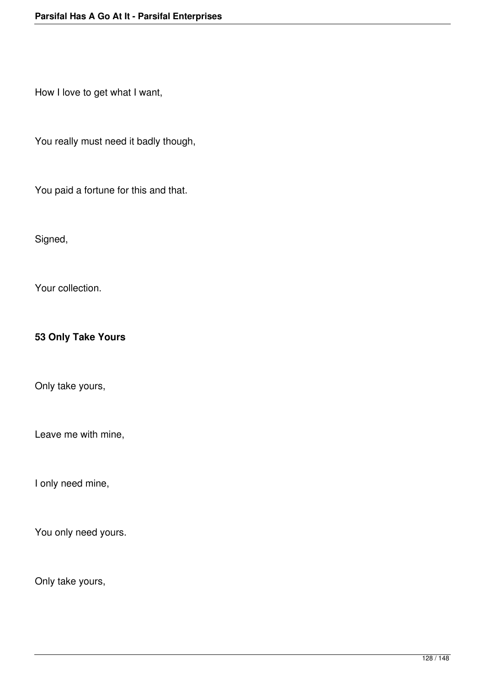How I love to get what I want,

You really must need it badly though,

You paid a fortune for this and that.

Signed,

Your collection.

# **53 Only Take Yours**

Only take yours,

Leave me with mine,

I only need mine,

You only need yours.

Only take yours,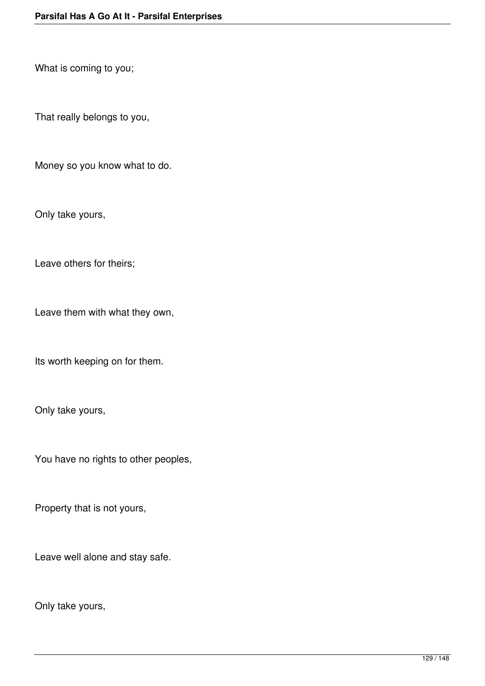What is coming to you;

That really belongs to you,

Money so you know what to do.

Only take yours,

Leave others for theirs;

Leave them with what they own,

Its worth keeping on for them.

Only take yours,

You have no rights to other peoples,

Property that is not yours,

Leave well alone and stay safe.

Only take yours,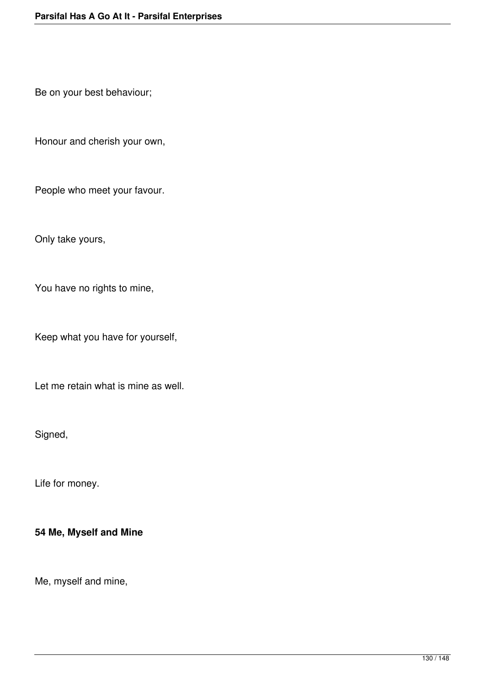Be on your best behaviour;

Honour and cherish your own,

People who meet your favour.

Only take yours,

You have no rights to mine,

Keep what you have for yourself,

Let me retain what is mine as well.

Signed,

Life for money.

# **54 Me, Myself and Mine**

Me, myself and mine,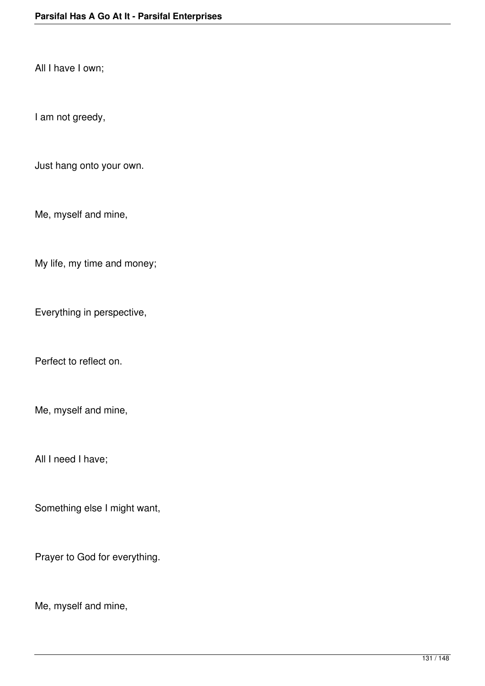All I have I own;

I am not greedy,

Just hang onto your own.

Me, myself and mine,

My life, my time and money;

Everything in perspective,

Perfect to reflect on.

Me, myself and mine,

All I need I have;

Something else I might want,

Prayer to God for everything.

Me, myself and mine,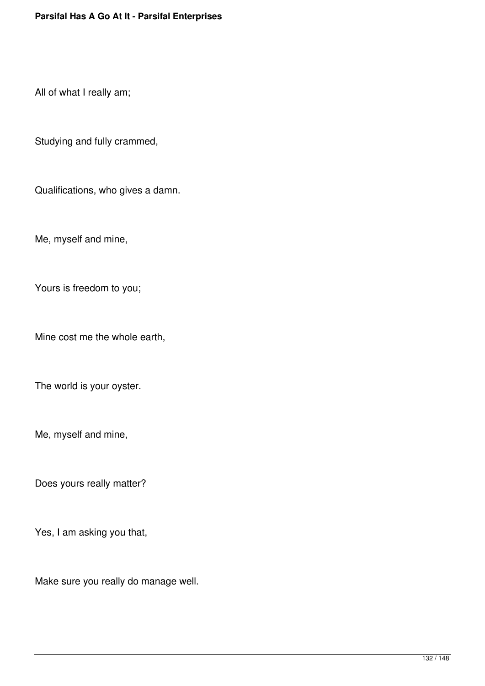All of what I really am;

Studying and fully crammed,

Qualifications, who gives a damn.

Me, myself and mine,

Yours is freedom to you;

Mine cost me the whole earth,

The world is your oyster.

Me, myself and mine,

Does yours really matter?

Yes, I am asking you that,

Make sure you really do manage well.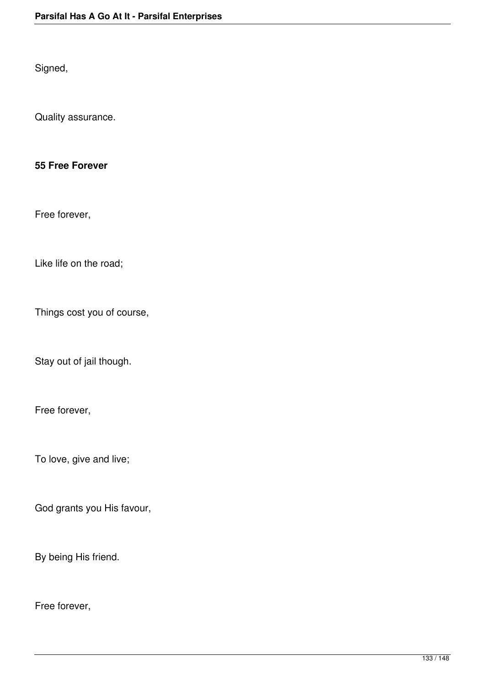Signed,

Quality assurance.

### **55 Free Forever**

Free forever,

Like life on the road;

Things cost you of course,

Stay out of jail though.

Free forever,

To love, give and live;

God grants you His favour,

By being His friend.

Free forever,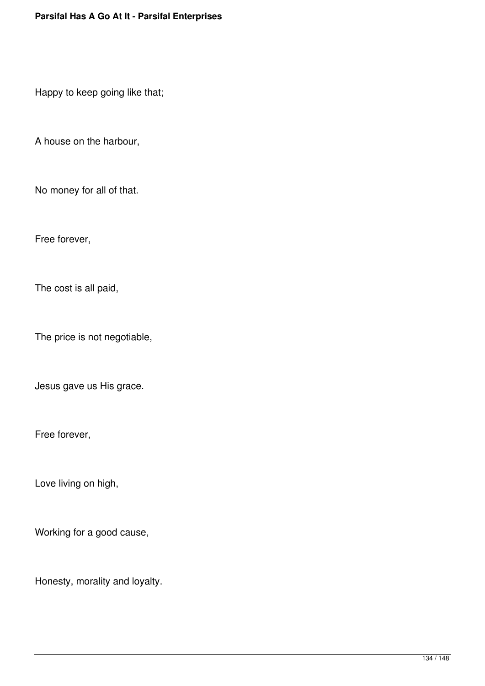Happy to keep going like that;

A house on the harbour,

No money for all of that.

Free forever,

The cost is all paid,

The price is not negotiable,

Jesus gave us His grace.

Free forever,

Love living on high,

Working for a good cause,

Honesty, morality and loyalty.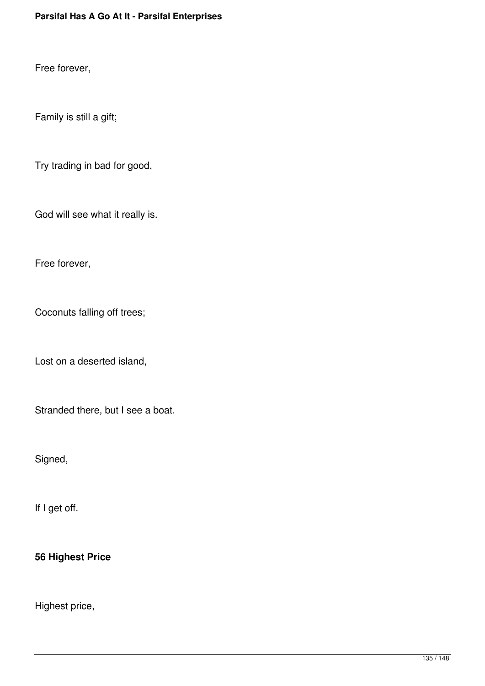Free forever,

Family is still a gift;

Try trading in bad for good,

God will see what it really is.

Free forever,

Coconuts falling off trees;

Lost on a deserted island,

Stranded there, but I see a boat.

Signed,

If I get off.

### **56 Highest Price**

Highest price,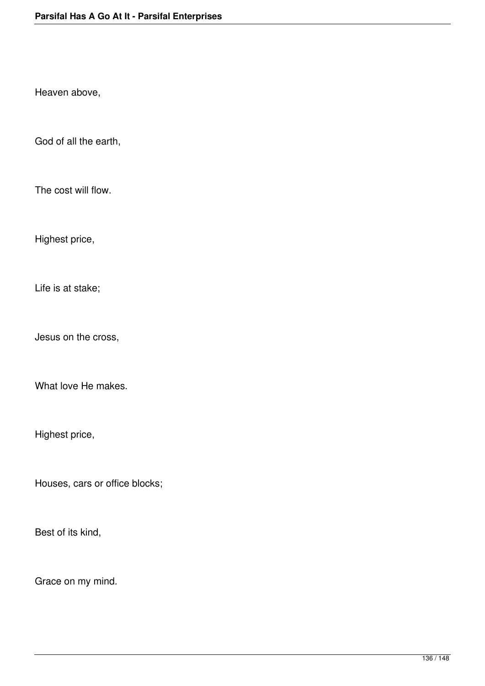Heaven above,

God of all the earth,

The cost will flow.

Highest price,

Life is at stake;

Jesus on the cross,

What love He makes.

Highest price,

Houses, cars or office blocks;

Best of its kind,

Grace on my mind.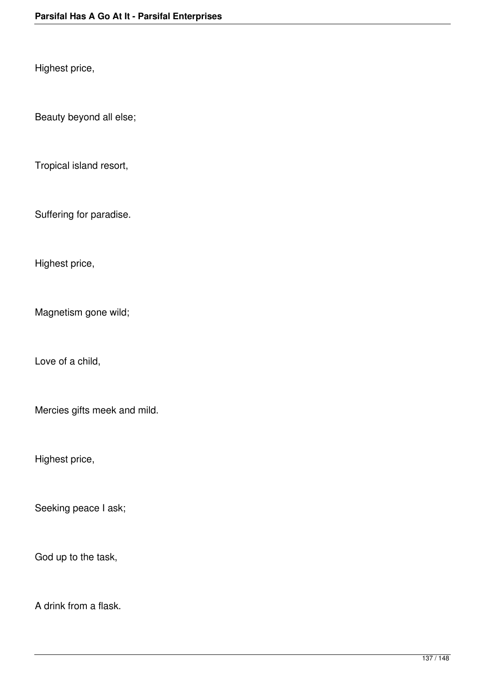Highest price,

Beauty beyond all else;

Tropical island resort,

Suffering for paradise.

Highest price,

Magnetism gone wild;

Love of a child,

Mercies gifts meek and mild.

Highest price,

Seeking peace I ask;

God up to the task,

A drink from a flask.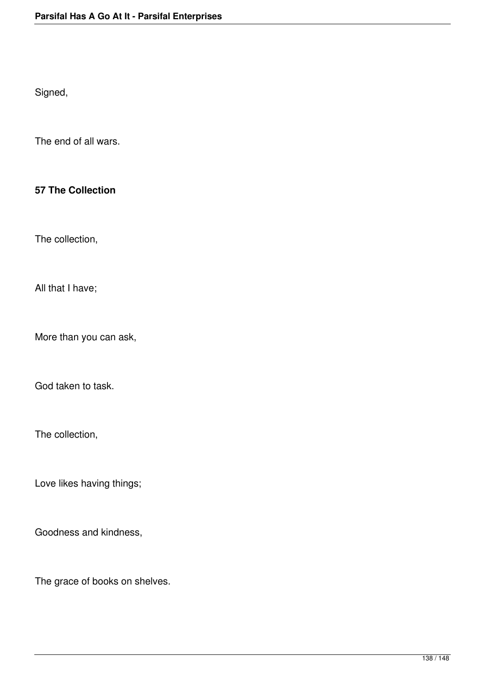Signed,

The end of all wars.

#### **57 The Collection**

The collection,

All that I have;

More than you can ask,

God taken to task.

The collection,

Love likes having things;

Goodness and kindness,

The grace of books on shelves.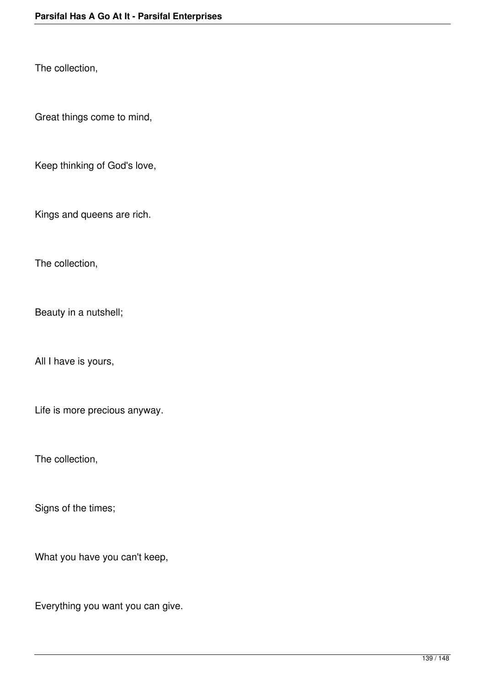The collection,

Great things come to mind,

Keep thinking of God's love,

Kings and queens are rich.

The collection,

Beauty in a nutshell;

All I have is yours,

Life is more precious anyway.

The collection,

Signs of the times;

What you have you can't keep,

Everything you want you can give.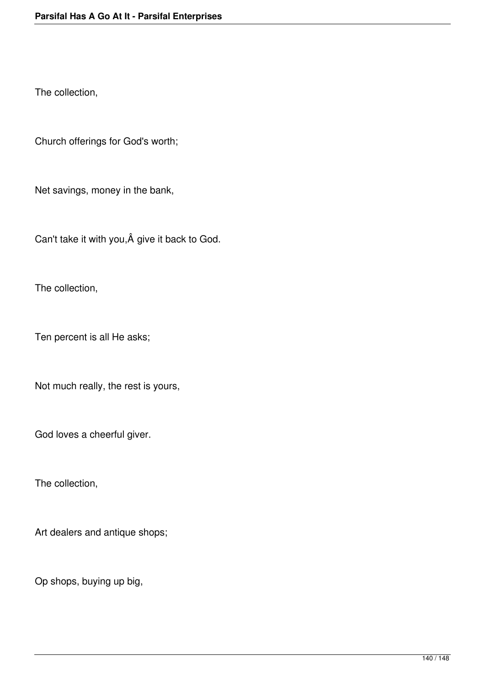The collection,

Church offerings for God's worth;

Net savings, money in the bank,

Can't take it with you, Â give it back to God.

The collection,

Ten percent is all He asks;

Not much really, the rest is yours,

God loves a cheerful giver.

The collection,

Art dealers and antique shops;

Op shops, buying up big,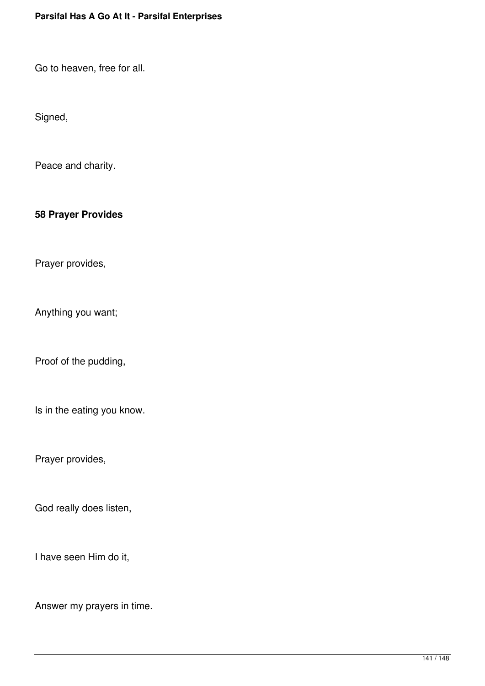Go to heaven, free for all.

Signed,

Peace and charity.

### **58 Prayer Provides**

Prayer provides,

Anything you want;

Proof of the pudding,

Is in the eating you know.

Prayer provides,

God really does listen,

I have seen Him do it,

Answer my prayers in time.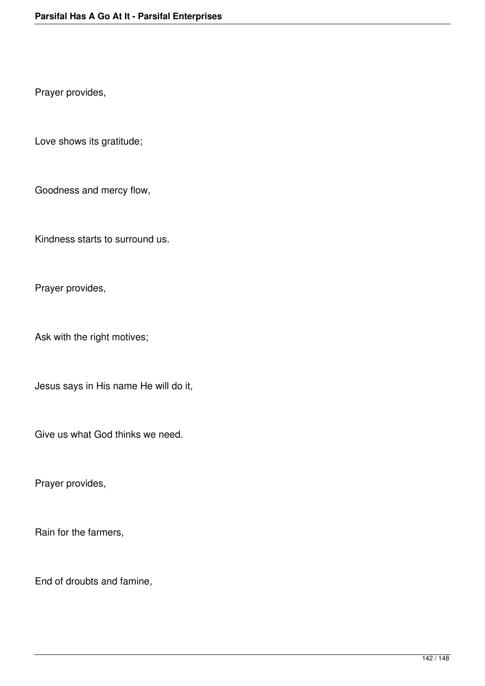Prayer provides,

Love shows its gratitude;

Goodness and mercy flow,

Kindness starts to surround us.

Prayer provides,

Ask with the right motives;

Jesus says in His name He will do it,

Give us what God thinks we need.

Prayer provides,

Rain for the farmers,

End of droubts and famine,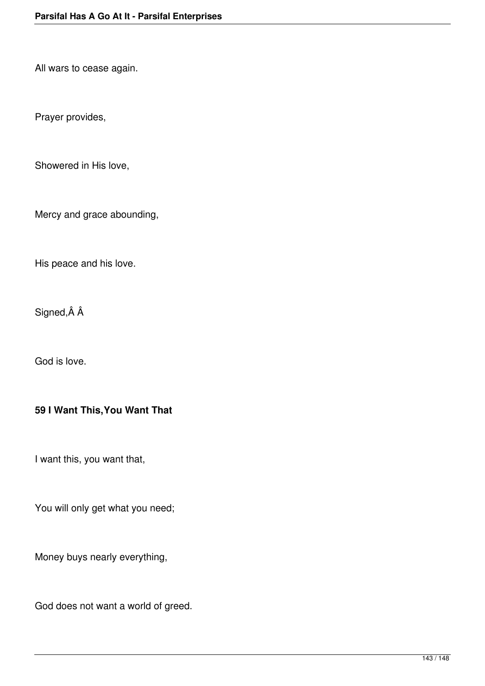All wars to cease again.

Prayer provides,

Showered in His love,

Mercy and grace abounding,

His peace and his love.

Signed, Â Â

God is love.

### **59 I Want This,You Want That**

I want this, you want that,

You will only get what you need;

Money buys nearly everything,

God does not want a world of greed.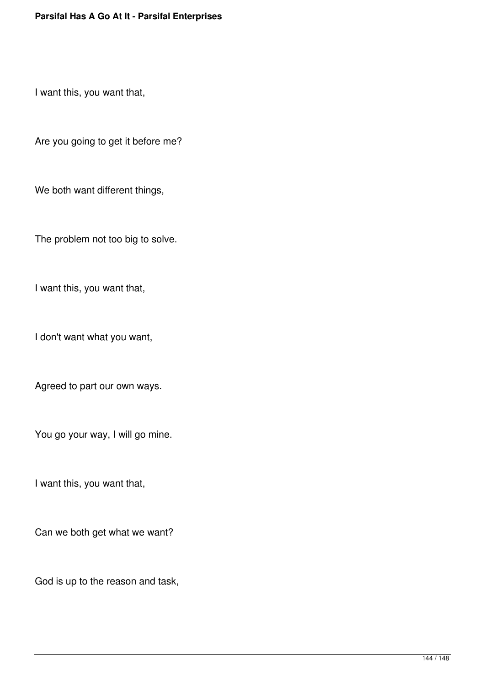I want this, you want that,

Are you going to get it before me?

We both want different things,

The problem not too big to solve.

I want this, you want that,

I don't want what you want,

Agreed to part our own ways.

You go your way, I will go mine.

I want this, you want that,

Can we both get what we want?

God is up to the reason and task,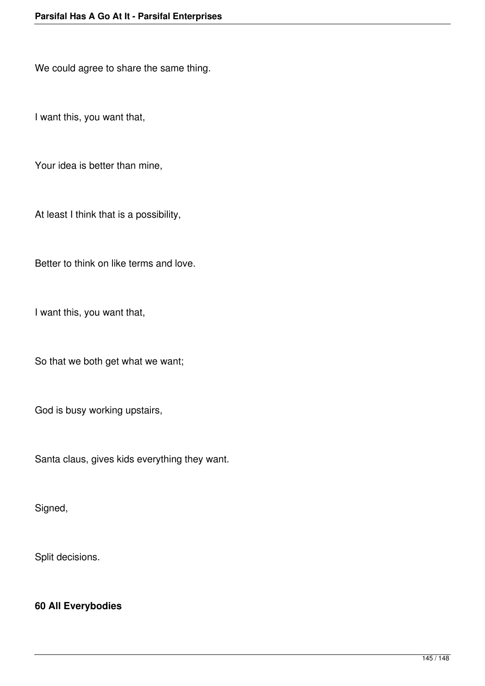We could agree to share the same thing.

I want this, you want that,

Your idea is better than mine,

At least I think that is a possibility,

Better to think on like terms and love.

I want this, you want that,

So that we both get what we want;

God is busy working upstairs,

Santa claus, gives kids everything they want.

Signed,

Split decisions.

## **60 All Everybodies**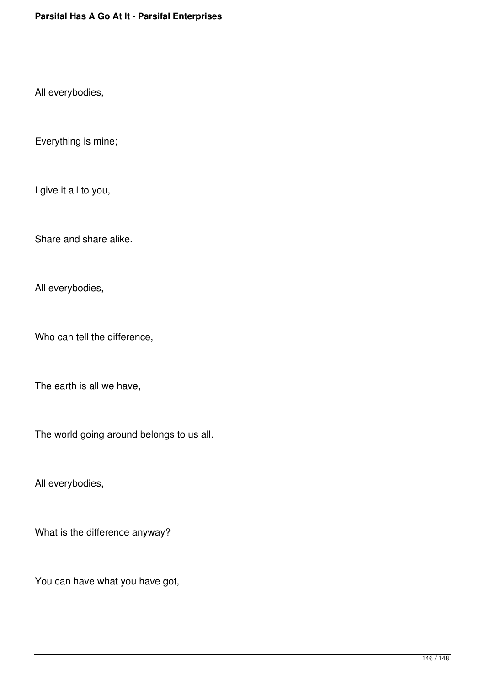All everybodies,

Everything is mine;

I give it all to you,

Share and share alike.

All everybodies,

Who can tell the difference,

The earth is all we have,

The world going around belongs to us all.

All everybodies,

What is the difference anyway?

You can have what you have got,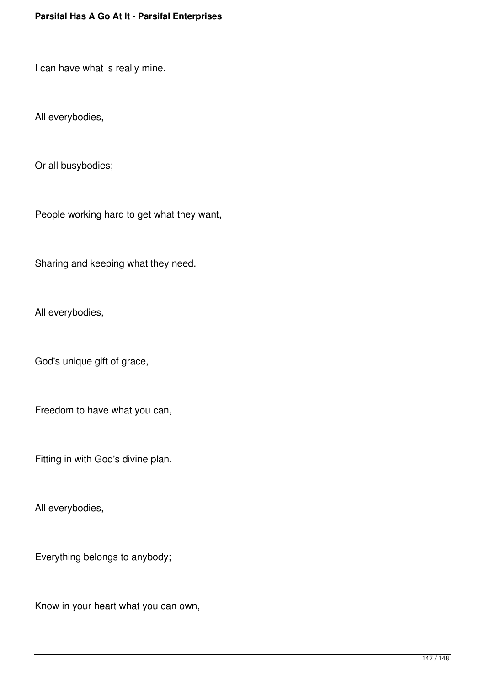I can have what is really mine.

All everybodies,

Or all busybodies;

People working hard to get what they want,

Sharing and keeping what they need.

All everybodies,

God's unique gift of grace,

Freedom to have what you can,

Fitting in with God's divine plan.

All everybodies,

Everything belongs to anybody;

Know in your heart what you can own,